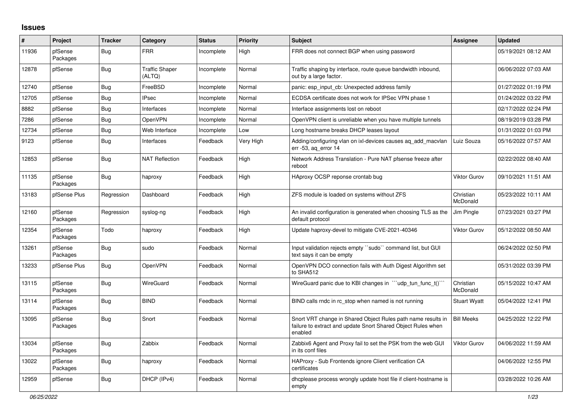## **Issues**

| #     | Project             | <b>Tracker</b> | Category                        | <b>Status</b> | <b>Priority</b> | <b>Subject</b>                                                                                                                          | Assignee              | <b>Updated</b>      |
|-------|---------------------|----------------|---------------------------------|---------------|-----------------|-----------------------------------------------------------------------------------------------------------------------------------------|-----------------------|---------------------|
| 11936 | pfSense<br>Packages | <b>Bug</b>     | <b>FRR</b>                      | Incomplete    | High            | FRR does not connect BGP when using password                                                                                            |                       | 05/19/2021 08:12 AM |
| 12878 | pfSense             | <b>Bug</b>     | <b>Traffic Shaper</b><br>(ALTQ) | Incomplete    | Normal          | Traffic shaping by interface, route queue bandwidth inbound,<br>out by a large factor.                                                  |                       | 06/06/2022 07:03 AM |
| 12740 | pfSense             | Bug            | FreeBSD                         | Incomplete    | Normal          | panic: esp input cb: Unexpected address family                                                                                          |                       | 01/27/2022 01:19 PM |
| 12705 | pfSense             | <b>Bug</b>     | <b>IPsec</b>                    | Incomplete    | Normal          | ECDSA certificate does not work for IPSec VPN phase 1                                                                                   |                       | 01/24/2022 03:22 PM |
| 8882  | pfSense             | Bug            | Interfaces                      | Incomplete    | Normal          | Interface assignments lost on reboot                                                                                                    |                       | 02/17/2022 02:24 PM |
| 7286  | pfSense             | Bug            | OpenVPN                         | Incomplete    | Normal          | OpenVPN client is unreliable when you have multiple tunnels                                                                             |                       | 08/19/2019 03:28 PM |
| 12734 | pfSense             | <b>Bug</b>     | Web Interface                   | Incomplete    | Low             | Long hostname breaks DHCP leases layout                                                                                                 |                       | 01/31/2022 01:03 PM |
| 9123  | pfSense             | Bug            | Interfaces                      | Feedback      | Very High       | Adding/configuring vlan on ixl-devices causes ag add macvlan<br>$err - 53$ , ag error 14                                                | Luiz Souza            | 05/16/2022 07:57 AM |
| 12853 | pfSense             | Bug            | <b>NAT Reflection</b>           | Feedback      | High            | Network Address Translation - Pure NAT pfsense freeze after<br>reboot                                                                   |                       | 02/22/2022 08:40 AM |
| 11135 | pfSense<br>Packages | Bug            | haproxy                         | Feedback      | High            | HAproxy OCSP reponse crontab bug                                                                                                        | <b>Viktor Gurov</b>   | 09/10/2021 11:51 AM |
| 13183 | pfSense Plus        | Regression     | Dashboard                       | Feedback      | High            | ZFS module is loaded on systems without ZFS                                                                                             | Christian<br>McDonald | 05/23/2022 10:11 AM |
| 12160 | pfSense<br>Packages | Regression     | syslog-ng                       | Feedback      | High            | An invalid configuration is generated when choosing TLS as the<br>default protocol                                                      | Jim Pingle            | 07/23/2021 03:27 PM |
| 12354 | pfSense<br>Packages | Todo           | haproxy                         | Feedback      | High            | Update haproxy-devel to mitigate CVE-2021-40346                                                                                         | Viktor Gurov          | 05/12/2022 08:50 AM |
| 13261 | pfSense<br>Packages | Bug            | sudo                            | Feedback      | Normal          | Input validation rejects empty "sudo" command list, but GUI<br>text says it can be empty                                                |                       | 06/24/2022 02:50 PM |
| 13233 | pfSense Plus        | Bug            | OpenVPN                         | Feedback      | Normal          | OpenVPN DCO connection fails with Auth Digest Algorithm set<br>to SHA512                                                                |                       | 05/31/2022 03:39 PM |
| 13115 | pfSense<br>Packages | Bug            | WireGuard                       | Feedback      | Normal          | Wire Guard panic due to KBI changes in $\cdots$ udp tun func $t()$ .                                                                    | Christian<br>McDonald | 05/15/2022 10:47 AM |
| 13114 | pfSense<br>Packages | Bug            | <b>BIND</b>                     | Feedback      | Normal          | BIND calls rndc in rc stop when named is not running                                                                                    | <b>Stuart Wyatt</b>   | 05/04/2022 12:41 PM |
| 13095 | pfSense<br>Packages | <b>Bug</b>     | Snort                           | Feedback      | Normal          | Snort VRT change in Shared Object Rules path name results in<br>failure to extract and update Snort Shared Object Rules when<br>enabled | <b>Bill Meeks</b>     | 04/25/2022 12:22 PM |
| 13034 | pfSense<br>Packages | Bug            | Zabbix                          | Feedback      | Normal          | Zabbix6 Agent and Proxy fail to set the PSK from the web GUI<br>in its conf files                                                       | Viktor Gurov          | 04/06/2022 11:59 AM |
| 13022 | pfSense<br>Packages | <b>Bug</b>     | haproxy                         | Feedback      | Normal          | HAProxy - Sub Frontends ignore Client verification CA<br>certificates                                                                   |                       | 04/06/2022 12:55 PM |
| 12959 | pfSense             | Bug            | DHCP (IPv4)                     | Feedback      | Normal          | dhoplease process wrongly update host file if client-hostname is<br>empty                                                               |                       | 03/28/2022 10:26 AM |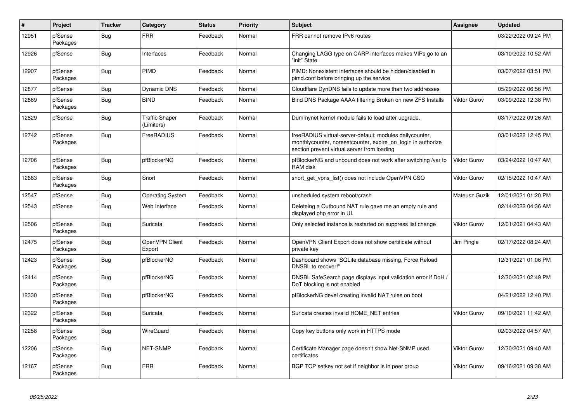| $\sharp$ | <b>Project</b>      | <b>Tracker</b> | Category                            | <b>Status</b> | <b>Priority</b> | <b>Subject</b>                                                                                                                                                           | Assignee            | <b>Updated</b>      |
|----------|---------------------|----------------|-------------------------------------|---------------|-----------------|--------------------------------------------------------------------------------------------------------------------------------------------------------------------------|---------------------|---------------------|
| 12951    | pfSense<br>Packages | Bug            | <b>FRR</b>                          | Feedback      | Normal          | FRR cannot remove IPv6 routes                                                                                                                                            |                     | 03/22/2022 09:24 PM |
| 12926    | pfSense             | <b>Bug</b>     | Interfaces                          | Feedback      | Normal          | Changing LAGG type on CARP interfaces makes VIPs go to an<br>"init" State                                                                                                |                     | 03/10/2022 10:52 AM |
| 12907    | pfSense<br>Packages | Bug            | <b>PIMD</b>                         | Feedback      | Normal          | PIMD: Nonexistent interfaces should be hidden/disabled in<br>pimd.conf before bringing up the service                                                                    |                     | 03/07/2022 03:51 PM |
| 12877    | pfSense             | Bug            | <b>Dynamic DNS</b>                  | Feedback      | Normal          | Cloudflare DynDNS fails to update more than two addresses                                                                                                                |                     | 05/29/2022 06:56 PM |
| 12869    | pfSense<br>Packages | <b>Bug</b>     | <b>BIND</b>                         | Feedback      | Normal          | Bind DNS Package AAAA filtering Broken on new ZFS Installs                                                                                                               | <b>Viktor Gurov</b> | 03/09/2022 12:38 PM |
| 12829    | pfSense             | <b>Bug</b>     | <b>Traffic Shaper</b><br>(Limiters) | Feedback      | Normal          | Dummynet kernel module fails to load after upgrade.                                                                                                                      |                     | 03/17/2022 09:26 AM |
| 12742    | pfSense<br>Packages | Bug            | FreeRADIUS                          | Feedback      | Normal          | freeRADIUS virtual-server-default: modules dailycounter,<br>monthlycounter, noreset counter, expire on login in authorize<br>section prevent virtual server from loading |                     | 03/01/2022 12:45 PM |
| 12706    | pfSense<br>Packages | <b>Bug</b>     | pfBlockerNG                         | Feedback      | Normal          | pfBlockerNG and unbound does not work after switching /var to<br>RAM disk                                                                                                | Viktor Gurov        | 03/24/2022 10:47 AM |
| 12683    | pfSense<br>Packages | Bug            | Snort                               | Feedback      | Normal          | snort_get_vpns_list() does not include OpenVPN CSO                                                                                                                       | Viktor Gurov        | 02/15/2022 10:47 AM |
| 12547    | pfSense             | <b>Bug</b>     | <b>Operating System</b>             | Feedback      | Normal          | unsheduled system reboot/crash                                                                                                                                           | Mateusz Guzik       | 12/01/2021 01:20 PM |
| 12543    | pfSense             | Bug            | Web Interface                       | Feedback      | Normal          | Deleteing a Outbound NAT rule gave me an empty rule and<br>displayed php error in UI.                                                                                    |                     | 02/14/2022 04:36 AM |
| 12506    | pfSense<br>Packages | <b>Bug</b>     | Suricata                            | Feedback      | Normal          | Only selected instance is restarted on suppress list change                                                                                                              | <b>Viktor Gurov</b> | 12/01/2021 04:43 AM |
| 12475    | pfSense<br>Packages | Bug            | OpenVPN Client<br>Export            | Feedback      | Normal          | OpenVPN Client Export does not show certificate without<br>private key                                                                                                   | Jim Pingle          | 02/17/2022 08:24 AM |
| 12423    | pfSense<br>Packages | Bug            | pfBlockerNG                         | Feedback      | Normal          | Dashboard shows "SQLite database missing, Force Reload<br>DNSBL to recover!"                                                                                             |                     | 12/31/2021 01:06 PM |
| 12414    | pfSense<br>Packages | <b>Bug</b>     | pfBlockerNG                         | Feedback      | Normal          | DNSBL SafeSearch page displays input validation error if DoH /<br>DoT blocking is not enabled                                                                            |                     | 12/30/2021 02:49 PM |
| 12330    | pfSense<br>Packages | Bug            | pfBlockerNG                         | Feedback      | Normal          | pfBlockerNG devel creating invalid NAT rules on boot                                                                                                                     |                     | 04/21/2022 12:40 PM |
| 12322    | pfSense<br>Packages | <b>Bug</b>     | Suricata                            | Feedback      | Normal          | Suricata creates invalid HOME NET entries                                                                                                                                | <b>Viktor Gurov</b> | 09/10/2021 11:42 AM |
| 12258    | pfSense<br>Packages | <b>Bug</b>     | WireGuard                           | Feedback      | Normal          | Copy key buttons only work in HTTPS mode                                                                                                                                 |                     | 02/03/2022 04:57 AM |
| 12206    | pfSense<br>Packages | Bug            | <b>NET-SNMP</b>                     | Feedback      | Normal          | Certificate Manager page doesn't show Net-SNMP used<br>certificates                                                                                                      | Viktor Gurov        | 12/30/2021 09:40 AM |
| 12167    | pfSense<br>Packages | Bug            | <b>FRR</b>                          | Feedback      | Normal          | BGP TCP setkey not set if neighbor is in peer group                                                                                                                      | Viktor Gurov        | 09/16/2021 09:38 AM |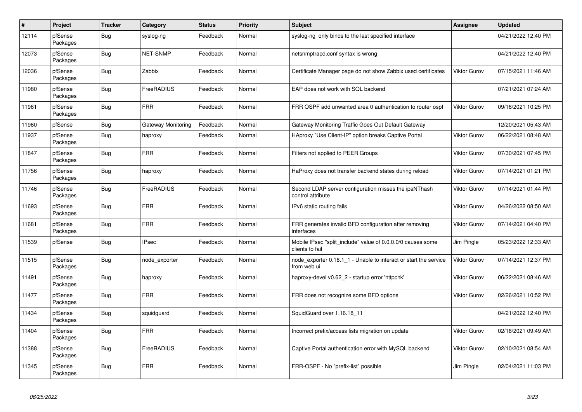| $\sharp$ | Project             | <b>Tracker</b> | Category           | <b>Status</b> | <b>Priority</b> | <b>Subject</b>                                                                  | Assignee            | <b>Updated</b>      |
|----------|---------------------|----------------|--------------------|---------------|-----------------|---------------------------------------------------------------------------------|---------------------|---------------------|
| 12114    | pfSense<br>Packages | Bug            | syslog-ng          | Feedback      | Normal          | syslog-ng only binds to the last specified interface                            |                     | 04/21/2022 12:40 PM |
| 12073    | pfSense<br>Packages | <b>Bug</b>     | <b>NET-SNMP</b>    | Feedback      | Normal          | netsnmptrapd.conf syntax is wrong                                               |                     | 04/21/2022 12:40 PM |
| 12036    | pfSense<br>Packages | Bug            | Zabbix             | Feedback      | Normal          | Certificate Manager page do not show Zabbix used certificates                   | <b>Viktor Gurov</b> | 07/15/2021 11:46 AM |
| 11980    | pfSense<br>Packages | <b>Bug</b>     | FreeRADIUS         | Feedback      | Normal          | EAP does not work with SQL backend                                              |                     | 07/21/2021 07:24 AM |
| 11961    | pfSense<br>Packages | Bug            | <b>FRR</b>         | Feedback      | Normal          | FRR OSPF add unwanted area 0 authentication to router ospf                      | <b>Viktor Gurov</b> | 09/16/2021 10:25 PM |
| 11960    | pfSense             | <b>Bug</b>     | Gateway Monitoring | Feedback      | Normal          | Gateway Monitoring Traffic Goes Out Default Gateway                             |                     | 12/20/2021 05:43 AM |
| 11937    | pfSense<br>Packages | <b>Bug</b>     | haproxy            | Feedback      | Normal          | HAproxy "Use Client-IP" option breaks Captive Portal                            | <b>Viktor Gurov</b> | 06/22/2021 08:48 AM |
| 11847    | pfSense<br>Packages | Bug            | <b>FRR</b>         | Feedback      | Normal          | Filters not applied to PEER Groups                                              | <b>Viktor Gurov</b> | 07/30/2021 07:45 PM |
| 11756    | pfSense<br>Packages | <b>Bug</b>     | haproxy            | Feedback      | Normal          | HaProxy does not transfer backend states during reload                          | <b>Viktor Gurov</b> | 07/14/2021 01:21 PM |
| 11746    | pfSense<br>Packages | <b>Bug</b>     | FreeRADIUS         | Feedback      | Normal          | Second LDAP server configuration misses the ipaNThash<br>control attribute      | <b>Viktor Gurov</b> | 07/14/2021 01:44 PM |
| 11693    | pfSense<br>Packages | <b>Bug</b>     | <b>FRR</b>         | Feedback      | Normal          | IPv6 static routing fails                                                       | <b>Viktor Gurov</b> | 04/26/2022 08:50 AM |
| 11681    | pfSense<br>Packages | <b>Bug</b>     | <b>FRR</b>         | Feedback      | Normal          | FRR generates invalid BFD configuration after removing<br>interfaces            | <b>Viktor Gurov</b> | 07/14/2021 04:40 PM |
| 11539    | pfSense             | Bug            | <b>IPsec</b>       | Feedback      | Normal          | Mobile IPsec "split include" value of 0.0.0.0/0 causes some<br>clients to fail  | Jim Pingle          | 05/23/2022 12:33 AM |
| 11515    | pfSense<br>Packages | <b>Bug</b>     | node exporter      | Feedback      | Normal          | node exporter 0.18.1 1 - Unable to interact or start the service<br>from web ui | <b>Viktor Gurov</b> | 07/14/2021 12:37 PM |
| 11491    | pfSense<br>Packages | <b>Bug</b>     | haproxy            | Feedback      | Normal          | haproxy-devel v0.62_2 - startup error 'httpchk'                                 | <b>Viktor Gurov</b> | 06/22/2021 08:46 AM |
| 11477    | pfSense<br>Packages | <b>Bug</b>     | <b>FRR</b>         | Feedback      | Normal          | FRR does not recognize some BFD options                                         | <b>Viktor Gurov</b> | 02/26/2021 10:52 PM |
| 11434    | pfSense<br>Packages | Bug            | squidguard         | Feedback      | Normal          | SquidGuard over 1.16.18 11                                                      |                     | 04/21/2022 12:40 PM |
| 11404    | pfSense<br>Packages | Bug            | <b>FRR</b>         | Feedback      | Normal          | Incorrect prefix/access lists migration on update                               | Viktor Gurov        | 02/18/2021 09:49 AM |
| 11388    | pfSense<br>Packages | Bug            | FreeRADIUS         | Feedback      | Normal          | Captive Portal authentication error with MySQL backend                          | <b>Viktor Gurov</b> | 02/10/2021 08:54 AM |
| 11345    | pfSense<br>Packages | <b>Bug</b>     | <b>FRR</b>         | Feedback      | Normal          | FRR-OSPF - No "prefix-list" possible                                            | Jim Pingle          | 02/04/2021 11:03 PM |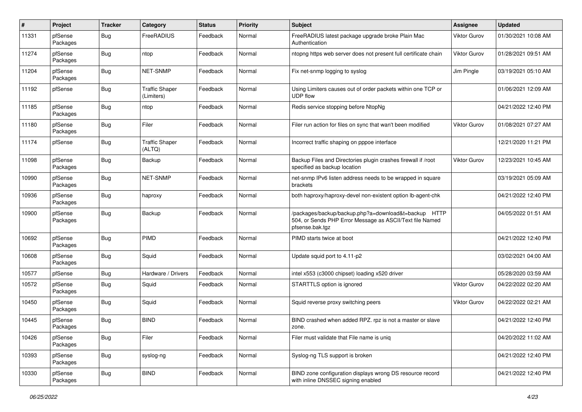| #     | Project             | <b>Tracker</b> | Category                            | <b>Status</b> | <b>Priority</b> | <b>Subject</b>                                                                                                                      | <b>Assignee</b>     | <b>Updated</b>      |
|-------|---------------------|----------------|-------------------------------------|---------------|-----------------|-------------------------------------------------------------------------------------------------------------------------------------|---------------------|---------------------|
| 11331 | pfSense<br>Packages | Bug            | FreeRADIUS                          | Feedback      | Normal          | FreeRADIUS latest package upgrade broke Plain Mac<br>Authentication                                                                 | Viktor Gurov        | 01/30/2021 10:08 AM |
| 11274 | pfSense<br>Packages | Bug            | ntop                                | Feedback      | Normal          | ntopng https web server does not present full certificate chain                                                                     | <b>Viktor Gurov</b> | 01/28/2021 09:51 AM |
| 11204 | pfSense<br>Packages | Bug            | <b>NET-SNMP</b>                     | Feedback      | Normal          | Fix net-snmp logging to syslog                                                                                                      | Jim Pingle          | 03/19/2021 05:10 AM |
| 11192 | pfSense             | Bug            | <b>Traffic Shaper</b><br>(Limiters) | Feedback      | Normal          | Using Limiters causes out of order packets within one TCP or<br><b>UDP flow</b>                                                     |                     | 01/06/2021 12:09 AM |
| 11185 | pfSense<br>Packages | <b>Bug</b>     | ntop                                | Feedback      | Normal          | Redis service stopping before NtopNg                                                                                                |                     | 04/21/2022 12:40 PM |
| 11180 | pfSense<br>Packages | <b>Bug</b>     | Filer                               | Feedback      | Normal          | Filer run action for files on sync that wan't been modified                                                                         | <b>Viktor Gurov</b> | 01/08/2021 07:27 AM |
| 11174 | pfSense             | <b>Bug</b>     | <b>Traffic Shaper</b><br>(ALTQ)     | Feedback      | Normal          | Incorrect traffic shaping on pppoe interface                                                                                        |                     | 12/21/2020 11:21 PM |
| 11098 | pfSense<br>Packages | Bug            | Backup                              | Feedback      | Normal          | Backup Files and Directories plugin crashes firewall if /root<br>specified as backup location                                       | <b>Viktor Gurov</b> | 12/23/2021 10:45 AM |
| 10990 | pfSense<br>Packages | <b>Bug</b>     | <b>NET-SNMP</b>                     | Feedback      | Normal          | net-snmp IPv6 listen address needs to be wrapped in square<br>brackets                                                              |                     | 03/19/2021 05:09 AM |
| 10936 | pfSense<br>Packages | <b>Bug</b>     | haproxy                             | Feedback      | Normal          | both haproxy/haproxy-devel non-existent option lb-agent-chk                                                                         |                     | 04/21/2022 12:40 PM |
| 10900 | pfSense<br>Packages | <b>Bug</b>     | Backup                              | Feedback      | Normal          | /packages/backup/backup.php?a=download&t=backup HTTP<br>504, or Sends PHP Error Message as ASCII/Text file Named<br>pfsense.bak.tgz |                     | 04/05/2022 01:51 AM |
| 10692 | pfSense<br>Packages | Bug            | <b>PIMD</b>                         | Feedback      | Normal          | PIMD starts twice at boot                                                                                                           |                     | 04/21/2022 12:40 PM |
| 10608 | pfSense<br>Packages | <b>Bug</b>     | Squid                               | Feedback      | Normal          | Update squid port to 4.11-p2                                                                                                        |                     | 03/02/2021 04:00 AM |
| 10577 | pfSense             | <b>Bug</b>     | Hardware / Drivers                  | Feedback      | Normal          | intel x553 (c3000 chipset) loading x520 driver                                                                                      |                     | 05/28/2020 03:59 AM |
| 10572 | pfSense<br>Packages | <b>Bug</b>     | Squid                               | Feedback      | Normal          | STARTTLS option is ignored                                                                                                          | Viktor Gurov        | 04/22/2022 02:20 AM |
| 10450 | pfSense<br>Packages | <b>Bug</b>     | Squid                               | Feedback      | Normal          | Squid reverse proxy switching peers                                                                                                 | <b>Viktor Gurov</b> | 04/22/2022 02:21 AM |
| 10445 | pfSense<br>Packages | <b>Bug</b>     | <b>BIND</b>                         | Feedback      | Normal          | BIND crashed when added RPZ. rpz is not a master or slave<br>zone.                                                                  |                     | 04/21/2022 12:40 PM |
| 10426 | pfSense<br>Packages | <b>Bug</b>     | Filer                               | Feedback      | Normal          | Filer must validate that File name is uniq                                                                                          |                     | 04/20/2022 11:02 AM |
| 10393 | pfSense<br>Packages | <b>Bug</b>     | syslog-ng                           | Feedback      | Normal          | Syslog-ng TLS support is broken                                                                                                     |                     | 04/21/2022 12:40 PM |
| 10330 | pfSense<br>Packages | <b>Bug</b>     | <b>BIND</b>                         | Feedback      | Normal          | BIND zone configuration displays wrong DS resource record<br>with inline DNSSEC signing enabled                                     |                     | 04/21/2022 12:40 PM |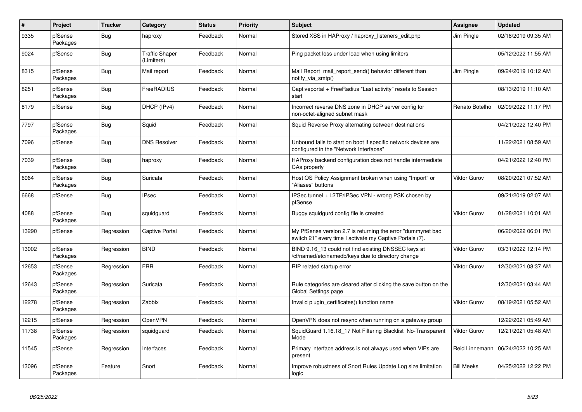| $\#$  | Project             | <b>Tracker</b> | Category                            | <b>Status</b> | <b>Priority</b> | <b>Subject</b>                                                                                                          | <b>Assignee</b>     | <b>Updated</b>                       |
|-------|---------------------|----------------|-------------------------------------|---------------|-----------------|-------------------------------------------------------------------------------------------------------------------------|---------------------|--------------------------------------|
| 9335  | pfSense<br>Packages | <b>Bug</b>     | haproxy                             | Feedback      | Normal          | Stored XSS in HAProxy / haproxy_listeners_edit.php                                                                      | Jim Pingle          | 02/18/2019 09:35 AM                  |
| 9024  | pfSense             | Bug            | <b>Traffic Shaper</b><br>(Limiters) | Feedback      | Normal          | Ping packet loss under load when using limiters                                                                         |                     | 05/12/2022 11:55 AM                  |
| 8315  | pfSense<br>Packages | <b>Bug</b>     | Mail report                         | Feedback      | Normal          | Mail Report mail_report_send() behavior different than<br>notify_via_smtp()                                             | Jim Pingle          | 09/24/2019 10:12 AM                  |
| 8251  | pfSense<br>Packages | <b>Bug</b>     | FreeRADIUS                          | Feedback      | Normal          | Captiveportal + FreeRadius "Last activity" resets to Session<br>start                                                   |                     | 08/13/2019 11:10 AM                  |
| 8179  | pfSense             | <b>Bug</b>     | DHCP (IPv4)                         | Feedback      | Normal          | Incorrect reverse DNS zone in DHCP server config for<br>non-octet-aligned subnet mask                                   | Renato Botelho      | 02/09/2022 11:17 PM                  |
| 7797  | pfSense<br>Packages | Bug            | Squid                               | Feedback      | Normal          | Squid Reverse Proxy alternating between destinations                                                                    |                     | 04/21/2022 12:40 PM                  |
| 7096  | pfSense             | <b>Bug</b>     | <b>DNS Resolver</b>                 | Feedback      | Normal          | Unbound fails to start on boot if specific network devices are<br>configured in the "Network Interfaces"                |                     | 11/22/2021 08:59 AM                  |
| 7039  | pfSense<br>Packages | <b>Bug</b>     | haproxy                             | Feedback      | Normal          | HAProxy backend configuration does not handle intermediate<br>CAs properly                                              |                     | 04/21/2022 12:40 PM                  |
| 6964  | pfSense<br>Packages | Bug            | Suricata                            | Feedback      | Normal          | Host OS Policy Assignment broken when using "Import" or<br>"Aliases" buttons                                            | <b>Viktor Gurov</b> | 08/20/2021 07:52 AM                  |
| 6668  | pfSense             | Bug            | <b>IPsec</b>                        | Feedback      | Normal          | IPSec tunnel + L2TP/IPSec VPN - wrong PSK chosen by<br>pfSense                                                          |                     | 09/21/2019 02:07 AM                  |
| 4088  | pfSense<br>Packages | <b>Bug</b>     | squidguard                          | Feedback      | Normal          | Buggy squidgurd config file is created                                                                                  | Viktor Gurov        | 01/28/2021 10:01 AM                  |
| 13290 | pfSense             | Regression     | <b>Captive Portal</b>               | Feedback      | Normal          | My PfSense version 2.7 is returning the error "dummynet bad<br>switch 21" every time I activate my Captive Portals (7). |                     | 06/20/2022 06:01 PM                  |
| 13002 | pfSense<br>Packages | Regression     | <b>BIND</b>                         | Feedback      | Normal          | BIND 9.16 13 could not find existing DNSSEC keys at<br>/cf/named/etc/namedb/keys due to directory change                | <b>Viktor Gurov</b> | 03/31/2022 12:14 PM                  |
| 12653 | pfSense<br>Packages | Regression     | <b>FRR</b>                          | Feedback      | Normal          | RIP related startup error                                                                                               | <b>Viktor Gurov</b> | 12/30/2021 08:37 AM                  |
| 12643 | pfSense<br>Packages | Regression     | Suricata                            | Feedback      | Normal          | Rule categories are cleared after clicking the save button on the<br>Global Settings page                               |                     | 12/30/2021 03:44 AM                  |
| 12278 | pfSense<br>Packages | Regression     | Zabbix                              | Feedback      | Normal          | Invalid plugin certificates() function name                                                                             | <b>Viktor Gurov</b> | 08/19/2021 05:52 AM                  |
| 12215 | pfSense             | Regression     | <b>OpenVPN</b>                      | Feedback      | Normal          | OpenVPN does not resync when running on a gateway group                                                                 |                     | 12/22/2021 05:49 AM                  |
| 11738 | pfSense<br>Packages | Regression     | squidguard                          | Feedback      | Normal          | SquidGuard 1.16.18_17 Not Filtering Blacklist No-Transparent<br>Mode                                                    | Viktor Gurov        | 12/21/2021 05:48 AM                  |
| 11545 | pfSense             | Regression     | Interfaces                          | Feedback      | Normal          | Primary interface address is not always used when VIPs are<br>present                                                   |                     | Reid Linnemann   06/24/2022 10:25 AM |
| 13096 | pfSense<br>Packages | Feature        | Snort                               | Feedback      | Normal          | Improve robustness of Snort Rules Update Log size limitation<br>logic                                                   | <b>Bill Meeks</b>   | 04/25/2022 12:22 PM                  |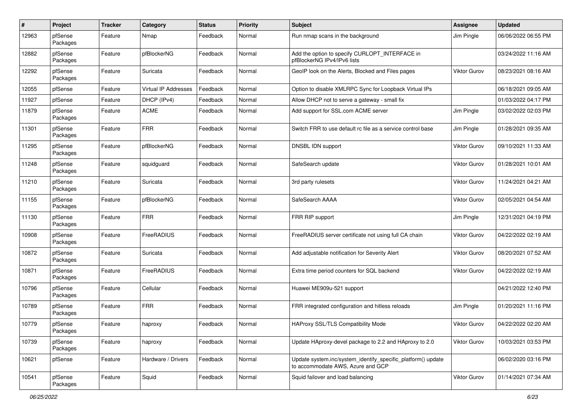| $\pmb{\#}$ | Project             | <b>Tracker</b> | Category             | <b>Status</b> | <b>Priority</b> | <b>Subject</b>                                                                                    | Assignee            | <b>Updated</b>      |
|------------|---------------------|----------------|----------------------|---------------|-----------------|---------------------------------------------------------------------------------------------------|---------------------|---------------------|
| 12963      | pfSense<br>Packages | Feature        | Nmap                 | Feedback      | Normal          | Run nmap scans in the background                                                                  | Jim Pingle          | 06/06/2022 06:55 PM |
| 12882      | pfSense<br>Packages | Feature        | pfBlockerNG          | Feedback      | Normal          | Add the option to specify CURLOPT_INTERFACE in<br>pfBlockerNG IPv4/IPv6 lists                     |                     | 03/24/2022 11:16 AM |
| 12292      | pfSense<br>Packages | Feature        | Suricata             | Feedback      | Normal          | GeoIP look on the Alerts, Blocked and Files pages                                                 | Viktor Gurov        | 08/23/2021 08:16 AM |
| 12055      | pfSense             | Feature        | Virtual IP Addresses | Feedback      | Normal          | Option to disable XMLRPC Sync for Loopback Virtual IPs                                            |                     | 06/18/2021 09:05 AM |
| 11927      | pfSense             | Feature        | DHCP (IPv4)          | Feedback      | Normal          | Allow DHCP not to serve a gateway - small fix                                                     |                     | 01/03/2022 04:17 PM |
| 11879      | pfSense<br>Packages | Feature        | <b>ACME</b>          | Feedback      | Normal          | Add support for SSL.com ACME server                                                               | Jim Pingle          | 03/02/2022 02:03 PM |
| 11301      | pfSense<br>Packages | Feature        | <b>FRR</b>           | Feedback      | Normal          | Switch FRR to use default rc file as a service control base                                       | Jim Pingle          | 01/28/2021 09:35 AM |
| 11295      | pfSense<br>Packages | Feature        | pfBlockerNG          | Feedback      | Normal          | DNSBL IDN support                                                                                 | <b>Viktor Gurov</b> | 09/10/2021 11:33 AM |
| 11248      | pfSense<br>Packages | Feature        | squidguard           | Feedback      | Normal          | SafeSearch update                                                                                 | Viktor Gurov        | 01/28/2021 10:01 AM |
| 11210      | pfSense<br>Packages | Feature        | Suricata             | Feedback      | Normal          | 3rd party rulesets                                                                                | <b>Viktor Gurov</b> | 11/24/2021 04:21 AM |
| 11155      | pfSense<br>Packages | Feature        | pfBlockerNG          | Feedback      | Normal          | SafeSearch AAAA                                                                                   | Viktor Gurov        | 02/05/2021 04:54 AM |
| 11130      | pfSense<br>Packages | Feature        | <b>FRR</b>           | Feedback      | Normal          | FRR RIP support                                                                                   | Jim Pingle          | 12/31/2021 04:19 PM |
| 10908      | pfSense<br>Packages | Feature        | FreeRADIUS           | Feedback      | Normal          | FreeRADIUS server certificate not using full CA chain                                             | Viktor Gurov        | 04/22/2022 02:19 AM |
| 10872      | pfSense<br>Packages | Feature        | Suricata             | Feedback      | Normal          | Add adjustable notification for Severity Alert                                                    | Viktor Gurov        | 08/20/2021 07:52 AM |
| 10871      | pfSense<br>Packages | Feature        | FreeRADIUS           | Feedback      | Normal          | Extra time period counters for SQL backend                                                        | Viktor Gurov        | 04/22/2022 02:19 AM |
| 10796      | pfSense<br>Packages | Feature        | Cellular             | Feedback      | Normal          | Huawei ME909u-521 support                                                                         |                     | 04/21/2022 12:40 PM |
| 10789      | pfSense<br>Packages | Feature        | <b>FRR</b>           | Feedback      | Normal          | FRR integrated configuration and hitless reloads                                                  | Jim Pingle          | 01/20/2021 11:16 PM |
| 10779      | pfSense<br>Packages | Feature        | haproxy              | Feedback      | Normal          | HAProxy SSL/TLS Compatibility Mode                                                                | <b>Viktor Gurov</b> | 04/22/2022 02:20 AM |
| 10739      | pfSense<br>Packages | Feature        | haproxy              | Feedback      | Normal          | Update HAproxy-devel package to 2.2 and HAproxy to 2.0                                            | <b>Viktor Gurov</b> | 10/03/2021 03:53 PM |
| 10621      | pfSense             | Feature        | Hardware / Drivers   | Feedback      | Normal          | Update system.inc/system_identify_specific_platform() update<br>to accommodate AWS, Azure and GCP |                     | 06/02/2020 03:16 PM |
| 10541      | pfSense<br>Packages | Feature        | Squid                | Feedback      | Normal          | Squid failover and load balancing                                                                 | Viktor Gurov        | 01/14/2021 07:34 AM |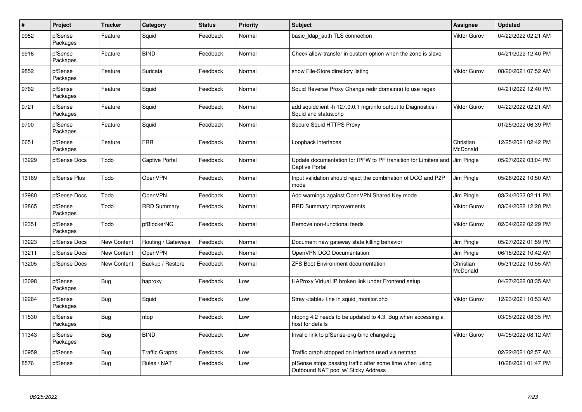| $\#$  | Project             | <b>Tracker</b>     | Category              | <b>Status</b> | <b>Priority</b> | <b>Subject</b>                                                                                  | Assignee              | <b>Updated</b>      |
|-------|---------------------|--------------------|-----------------------|---------------|-----------------|-------------------------------------------------------------------------------------------------|-----------------------|---------------------|
| 9982  | pfSense<br>Packages | Feature            | Squid                 | Feedback      | Normal          | basic Idap auth TLS connection                                                                  | <b>Viktor Gurov</b>   | 04/22/2022 02:21 AM |
| 9916  | pfSense<br>Packages | Feature            | <b>BIND</b>           | Feedback      | Normal          | Check allow-transfer in custom option when the zone is slave                                    |                       | 04/21/2022 12:40 PM |
| 9852  | pfSense<br>Packages | Feature            | Suricata              | Feedback      | Normal          | show File-Store directory listing                                                               | Viktor Gurov          | 08/20/2021 07:52 AM |
| 9762  | pfSense<br>Packages | Feature            | Squid                 | Feedback      | Normal          | Squid Reverse Proxy Change redir domain(s) to use regex                                         |                       | 04/21/2022 12:40 PM |
| 9721  | pfSense<br>Packages | Feature            | Squid                 | Feedback      | Normal          | add squidclient -h 127.0.0.1 mgr:info output to Diagnostics /<br>Squid and status.php           | <b>Viktor Gurov</b>   | 04/22/2022 02:21 AM |
| 9700  | pfSense<br>Packages | Feature            | Squid                 | Feedback      | Normal          | Secure Squid HTTPS Proxy                                                                        |                       | 01/25/2022 06:39 PM |
| 6651  | pfSense<br>Packages | Feature            | <b>FRR</b>            | Feedback      | Normal          | Loopback interfaces                                                                             | Christian<br>McDonald | 12/25/2021 02:42 PM |
| 13229 | pfSense Docs        | Todo               | <b>Captive Portal</b> | Feedback      | Normal          | Update documentation for IPFW to PF transition for Limiters and<br><b>Captive Portal</b>        | Jim Pingle            | 05/27/2022 03:04 PM |
| 13189 | pfSense Plus        | Todo               | <b>OpenVPN</b>        | Feedback      | Normal          | Input validation should reject the combination of DCO and P2P<br>mode                           | <b>Jim Pingle</b>     | 05/26/2022 10:50 AM |
| 12980 | pfSense Docs        | Todo               | <b>OpenVPN</b>        | Feedback      | Normal          | Add warnings against OpenVPN Shared Key mode                                                    | Jim Pingle            | 03/24/2022 02:11 PM |
| 12865 | pfSense<br>Packages | Todo               | <b>RRD Summary</b>    | Feedback      | Normal          | <b>RRD Summary improvements</b>                                                                 | <b>Viktor Gurov</b>   | 03/04/2022 12:20 PM |
| 12351 | pfSense<br>Packages | Todo               | pfBlockerNG           | Feedback      | Normal          | Remove non-functional feeds                                                                     | Viktor Gurov          | 02/04/2022 02:29 PM |
| 13223 | pfSense Docs        | New Content        | Routing / Gateways    | Feedback      | Normal          | Document new gateway state killing behavior                                                     | Jim Pingle            | 05/27/2022 01:59 PM |
| 13211 | pfSense Docs        | <b>New Content</b> | OpenVPN               | Feedback      | Normal          | OpenVPN DCO Documentation                                                                       | Jim Pingle            | 06/15/2022 10:42 AM |
| 13205 | pfSense Docs        | New Content        | Backup / Restore      | Feedback      | Normal          | <b>ZFS Boot Environment documentation</b>                                                       | Christian<br>McDonald | 05/31/2022 10:55 AM |
| 13098 | pfSense<br>Packages | Bug                | haproxy               | Feedback      | Low             | HAProxy Virtual IP broken link under Frontend setup                                             |                       | 04/27/2022 08:35 AM |
| 12264 | pfSense<br>Packages | <b>Bug</b>         | Squid                 | Feedback      | Low             | Stray <table> line in squid monitor.php</table>                                                 | <b>Viktor Gurov</b>   | 12/23/2021 10:53 AM |
| 11530 | pfSense<br>Packages | <b>Bug</b>         | ntop                  | Feedback      | Low             | ntopng 4.2 needs to be updated to 4.3, Bug when accessing a<br>host for details                 |                       | 03/05/2022 08:35 PM |
| 11343 | pfSense<br>Packages | <b>Bug</b>         | <b>BIND</b>           | Feedback      | Low             | Invalid link to pfSense-pkg-bind changelog                                                      | <b>Viktor Gurov</b>   | 04/05/2022 08:12 AM |
| 10959 | pfSense             | <b>Bug</b>         | <b>Traffic Graphs</b> | Feedback      | Low             | Traffic graph stopped on interface used via netmap                                              |                       | 02/22/2021 02:57 AM |
| 8576  | pfSense             | <b>Bug</b>         | Rules / NAT           | Feedback      | Low             | pfSense stops passing traffic after some time when using<br>Outbound NAT pool w/ Sticky Address |                       | 10/28/2021 01:47 PM |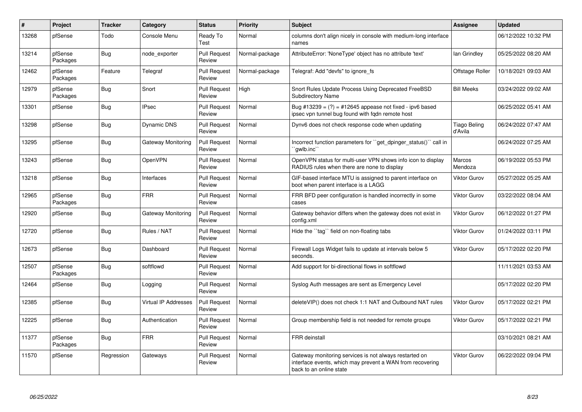| #     | Project             | <b>Tracker</b> | Category             | <b>Status</b>                 | <b>Priority</b> | <b>Subject</b>                                                                                                                                 | Assignee                       | <b>Updated</b>      |
|-------|---------------------|----------------|----------------------|-------------------------------|-----------------|------------------------------------------------------------------------------------------------------------------------------------------------|--------------------------------|---------------------|
| 13268 | pfSense             | Todo           | Console Menu         | Ready To<br>Test              | Normal          | columns don't align nicely in console with medium-long interface<br>names                                                                      |                                | 06/12/2022 10:32 PM |
| 13214 | pfSense<br>Packages | <b>Bug</b>     | node exporter        | <b>Pull Request</b><br>Review | Normal-package  | AttributeError: 'NoneType' object has no attribute 'text'                                                                                      | lan Grindley                   | 05/25/2022 08:20 AM |
| 12462 | pfSense<br>Packages | Feature        | Telegraf             | <b>Pull Request</b><br>Review | Normal-package  | Telegraf: Add "devfs" to ignore fs                                                                                                             | Offstage Roller                | 10/18/2021 09:03 AM |
| 12979 | pfSense<br>Packages | <b>Bug</b>     | Snort                | <b>Pull Request</b><br>Review | High            | Snort Rules Update Process Using Deprecated FreeBSD<br><b>Subdirectory Name</b>                                                                | <b>Bill Meeks</b>              | 03/24/2022 09:02 AM |
| 13301 | pfSense             | <b>Bug</b>     | <b>IPsec</b>         | <b>Pull Request</b><br>Review | Normal          | Bug #13239 = $(?)$ = #12645 appease not fixed - ipv6 based<br>ipsec vpn tunnel bug found with fqdn remote host                                 |                                | 06/25/2022 05:41 AM |
| 13298 | pfSense             | Bug            | <b>Dynamic DNS</b>   | <b>Pull Request</b><br>Review | Normal          | Dynv6 does not check response code when updating                                                                                               | <b>Tiago Beling</b><br>d'Avila | 06/24/2022 07:47 AM |
| 13295 | pfSense             | <b>Bug</b>     | Gateway Monitoring   | <b>Pull Request</b><br>Review | Normal          | Incorrect function parameters for "get_dpinger_status()" call in<br>`gwlb.inc``                                                                |                                | 06/24/2022 07:25 AM |
| 13243 | pfSense             | <b>Bug</b>     | OpenVPN              | <b>Pull Request</b><br>Review | Normal          | OpenVPN status for multi-user VPN shows info icon to display<br>RADIUS rules when there are none to display                                    | Marcos<br>Mendoza              | 06/19/2022 05:53 PM |
| 13218 | pfSense             | <b>Bug</b>     | Interfaces           | <b>Pull Request</b><br>Review | Normal          | GIF-based interface MTU is assigned to parent interface on<br>boot when parent interface is a LAGG                                             | <b>Viktor Gurov</b>            | 05/27/2022 05:25 AM |
| 12965 | pfSense<br>Packages | <b>Bug</b>     | <b>FRR</b>           | <b>Pull Request</b><br>Review | Normal          | FRR BFD peer configuration is handled incorrectly in some<br>cases                                                                             | Viktor Gurov                   | 03/22/2022 08:04 AM |
| 12920 | pfSense             | <b>Bug</b>     | Gateway Monitoring   | <b>Pull Request</b><br>Review | Normal          | Gateway behavior differs when the gateway does not exist in<br>config.xml                                                                      | <b>Viktor Gurov</b>            | 06/12/2022 01:27 PM |
| 12720 | pfSense             | <b>Bug</b>     | Rules / NAT          | <b>Pull Request</b><br>Review | Normal          | Hide the "tag" field on non-floating tabs                                                                                                      | <b>Viktor Gurov</b>            | 01/24/2022 03:11 PM |
| 12673 | pfSense             | <b>Bug</b>     | Dashboard            | <b>Pull Request</b><br>Review | Normal          | Firewall Logs Widget fails to update at intervals below 5<br>seconds.                                                                          | <b>Viktor Gurov</b>            | 05/17/2022 02:20 PM |
| 12507 | pfSense<br>Packages | Bug            | softflowd            | <b>Pull Request</b><br>Review | Normal          | Add support for bi-directional flows in softflowd                                                                                              |                                | 11/11/2021 03:53 AM |
| 12464 | pfSense             | <b>Bug</b>     | Logging              | <b>Pull Request</b><br>Review | Normal          | Syslog Auth messages are sent as Emergency Level                                                                                               |                                | 05/17/2022 02:20 PM |
| 12385 | pfSense             | <b>Bug</b>     | Virtual IP Addresses | <b>Pull Request</b><br>Review | Normal          | deleteVIP() does not check 1:1 NAT and Outbound NAT rules                                                                                      | <b>Viktor Gurov</b>            | 05/17/2022 02:21 PM |
| 12225 | pfSense             | <b>Bug</b>     | Authentication       | <b>Pull Request</b><br>Review | Normal          | Group membership field is not needed for remote groups                                                                                         | <b>Viktor Gurov</b>            | 05/17/2022 02:21 PM |
| 11377 | pfSense<br>Packages | Bug            | <b>FRR</b>           | <b>Pull Request</b><br>Review | Normal          | <b>FRR</b> deinstall                                                                                                                           |                                | 03/10/2021 08:21 AM |
| 11570 | pfSense             | Regression     | Gateways             | <b>Pull Request</b><br>Review | Normal          | Gateway monitoring services is not always restarted on<br>interface events, which may prevent a WAN from recovering<br>back to an online state | <b>Viktor Gurov</b>            | 06/22/2022 09:04 PM |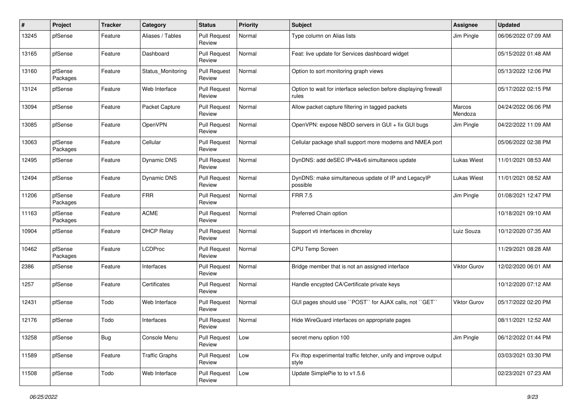| $\pmb{\#}$ | Project             | <b>Tracker</b> | Category              | <b>Status</b>                 | <b>Priority</b> | <b>Subject</b>                                                             | <b>Assignee</b>     | <b>Updated</b>      |
|------------|---------------------|----------------|-----------------------|-------------------------------|-----------------|----------------------------------------------------------------------------|---------------------|---------------------|
| 13245      | pfSense             | Feature        | Aliases / Tables      | <b>Pull Request</b><br>Review | Normal          | Type column on Alias lists                                                 | Jim Pingle          | 06/06/2022 07:09 AM |
| 13165      | pfSense             | Feature        | Dashboard             | <b>Pull Request</b><br>Review | Normal          | Feat: live update for Services dashboard widget                            |                     | 05/15/2022 01:48 AM |
| 13160      | pfSense<br>Packages | Feature        | Status Monitoring     | <b>Pull Request</b><br>Review | Normal          | Option to sort monitoring graph views                                      |                     | 05/13/2022 12:06 PM |
| 13124      | pfSense             | Feature        | Web Interface         | Pull Request<br>Review        | Normal          | Option to wait for interface selection before displaying firewall<br>rules |                     | 05/17/2022 02:15 PM |
| 13094      | pfSense             | Feature        | Packet Capture        | <b>Pull Request</b><br>Review | Normal          | Allow packet capture filtering in tagged packets                           | Marcos<br>Mendoza   | 04/24/2022 06:06 PM |
| 13085      | pfSense             | Feature        | OpenVPN               | <b>Pull Request</b><br>Review | Normal          | OpenVPN: expose NBDD servers in GUI + fix GUI bugs                         | Jim Pingle          | 04/22/2022 11:09 AM |
| 13063      | pfSense<br>Packages | Feature        | Cellular              | <b>Pull Request</b><br>Review | Normal          | Cellular package shall support more modems and NMEA port                   |                     | 05/06/2022 02:38 PM |
| 12495      | pfSense             | Feature        | <b>Dynamic DNS</b>    | <b>Pull Request</b><br>Review | Normal          | DynDNS: add deSEC IPv4&v6 simultaneos update                               | <b>Lukas Wiest</b>  | 11/01/2021 08:53 AM |
| 12494      | pfSense             | Feature        | <b>Dynamic DNS</b>    | <b>Pull Request</b><br>Review | Normal          | DynDNS: make simultaneous update of IP and LegacyIP<br>possible            | Lukas Wiest         | 11/01/2021 08:52 AM |
| 11206      | pfSense<br>Packages | Feature        | <b>FRR</b>            | <b>Pull Request</b><br>Review | Normal          | <b>FRR 7.5</b>                                                             | Jim Pingle          | 01/08/2021 12:47 PM |
| 11163      | pfSense<br>Packages | Feature        | <b>ACME</b>           | <b>Pull Request</b><br>Review | Normal          | Preferred Chain option                                                     |                     | 10/18/2021 09:10 AM |
| 10904      | pfSense             | Feature        | <b>DHCP Relay</b>     | <b>Pull Request</b><br>Review | Normal          | Support vti interfaces in dhcrelay                                         | Luiz Souza          | 10/12/2020 07:35 AM |
| 10462      | pfSense<br>Packages | Feature        | <b>LCDProc</b>        | <b>Pull Request</b><br>Review | Normal          | CPU Temp Screen                                                            |                     | 11/29/2021 08:28 AM |
| 2386       | pfSense             | Feature        | Interfaces            | <b>Pull Request</b><br>Review | Normal          | Bridge member that is not an assigned interface                            | <b>Viktor Gurov</b> | 12/02/2020 06:01 AM |
| 1257       | pfSense             | Feature        | Certificates          | <b>Pull Request</b><br>Review | Normal          | Handle encypted CA/Certificate private keys                                |                     | 10/12/2020 07:12 AM |
| 12431      | pfSense             | Todo           | Web Interface         | <b>Pull Request</b><br>Review | Normal          | GUI pages should use "POST" for AJAX calls, not "GET"                      | Viktor Gurov        | 05/17/2022 02:20 PM |
| 12176      | pfSense             | Todo           | Interfaces            | <b>Pull Request</b><br>Review | Normal          | Hide WireGuard interfaces on appropriate pages                             |                     | 08/11/2021 12:52 AM |
| 13258      | pfSense             | Bug            | Console Menu          | <b>Pull Request</b><br>Review | Low             | secret menu option 100                                                     | Jim Pingle          | 06/12/2022 01:44 PM |
| 11589      | pfSense             | Feature        | <b>Traffic Graphs</b> | <b>Pull Request</b><br>Review | Low             | Fix iftop experimental traffic fetcher, unify and improve output<br>style  |                     | 03/03/2021 03:30 PM |
| 11508      | pfSense             | Todo           | Web Interface         | <b>Pull Request</b><br>Review | Low             | Update SimplePie to to v1.5.6                                              |                     | 02/23/2021 07:23 AM |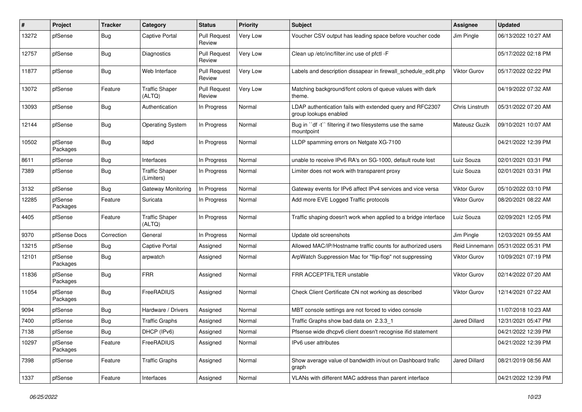| #     | Project             | <b>Tracker</b> | Category                            | <b>Status</b>                 | <b>Priority</b> | <b>Subject</b>                                                                     | <b>Assignee</b>      | <b>Updated</b>      |
|-------|---------------------|----------------|-------------------------------------|-------------------------------|-----------------|------------------------------------------------------------------------------------|----------------------|---------------------|
| 13272 | pfSense             | Bug            | <b>Captive Portal</b>               | <b>Pull Request</b><br>Review | Very Low        | Voucher CSV output has leading space before voucher code                           | Jim Pingle           | 06/13/2022 10:27 AM |
| 12757 | pfSense             | Bug            | <b>Diagnostics</b>                  | <b>Pull Request</b><br>Review | Very Low        | Clean up /etc/inc/filter.inc use of pfctl -F                                       |                      | 05/17/2022 02:18 PM |
| 11877 | pfSense             | <b>Bug</b>     | Web Interface                       | <b>Pull Request</b><br>Review | Very Low        | Labels and description dissapear in firewall schedule edit.php                     | <b>Viktor Gurov</b>  | 05/17/2022 02:22 PM |
| 13072 | pfSense             | Feature        | <b>Traffic Shaper</b><br>(ALTQ)     | <b>Pull Request</b><br>Review | Very Low        | Matching background/font colors of queue values with dark<br>theme.                |                      | 04/19/2022 07:32 AM |
| 13093 | pfSense             | <b>Bug</b>     | Authentication                      | In Progress                   | Normal          | LDAP authentication fails with extended query and RFC2307<br>group lookups enabled | Chris Linstruth      | 05/31/2022 07:20 AM |
| 12144 | pfSense             | Bug            | <b>Operating System</b>             | In Progress                   | Normal          | Bug in "df -t" filtering if two filesystems use the same<br>mountpoint             | Mateusz Guzik        | 09/10/2021 10:07 AM |
| 10502 | pfSense<br>Packages | <b>Bug</b>     | <b>Ildpd</b>                        | In Progress                   | Normal          | LLDP spamming errors on Netgate XG-7100                                            |                      | 04/21/2022 12:39 PM |
| 8611  | pfSense             | <b>Bug</b>     | Interfaces                          | In Progress                   | Normal          | unable to receive IPv6 RA's on SG-1000, default route lost                         | Luiz Souza           | 02/01/2021 03:31 PM |
| 7389  | pfSense             | <b>Bug</b>     | <b>Traffic Shaper</b><br>(Limiters) | In Progress                   | Normal          | Limiter does not work with transparent proxy                                       | Luiz Souza           | 02/01/2021 03:31 PM |
| 3132  | pfSense             | <b>Bug</b>     | Gateway Monitoring                  | In Progress                   | Normal          | Gateway events for IPv6 affect IPv4 services and vice versa                        | <b>Viktor Gurov</b>  | 05/10/2022 03:10 PM |
| 12285 | pfSense<br>Packages | Feature        | Suricata                            | In Progress                   | Normal          | Add more EVE Logged Traffic protocols                                              | Viktor Gurov         | 08/20/2021 08:22 AM |
| 4405  | pfSense             | Feature        | <b>Traffic Shaper</b><br>(ALTQ)     | In Progress                   | Normal          | Traffic shaping doesn't work when applied to a bridge interface                    | Luiz Souza           | 02/09/2021 12:05 PM |
| 9370  | pfSense Docs        | Correction     | General                             | In Progress                   | Normal          | Update old screenshots                                                             | Jim Pingle           | 12/03/2021 09:55 AM |
| 13215 | pfSense             | <b>Bug</b>     | <b>Captive Portal</b>               | Assigned                      | Normal          | Allowed MAC/IP/Hostname traffic counts for authorized users                        | Reid Linnemann       | 05/31/2022 05:31 PM |
| 12101 | pfSense<br>Packages | Bug            | arpwatch                            | Assigned                      | Normal          | ArpWatch Suppression Mac for "flip-flop" not suppressing                           | <b>Viktor Gurov</b>  | 10/09/2021 07:19 PM |
| 11836 | pfSense<br>Packages | <b>Bug</b>     | <b>FRR</b>                          | Assigned                      | Normal          | FRR ACCEPTFILTER unstable                                                          | <b>Viktor Gurov</b>  | 02/14/2022 07:20 AM |
| 11054 | pfSense<br>Packages | <b>Bug</b>     | FreeRADIUS                          | Assigned                      | Normal          | Check Client Certificate CN not working as described                               | Viktor Gurov         | 12/14/2021 07:22 AM |
| 9094  | pfSense             | Bug            | Hardware / Drivers                  | Assigned                      | Normal          | MBT console settings are not forced to video console                               |                      | 11/07/2018 10:23 AM |
| 7400  | pfSense             | Bug            | <b>Traffic Graphs</b>               | Assigned                      | Normal          | Traffic Graphs show bad data on 2.3.3 1                                            | <b>Jared Dillard</b> | 12/31/2021 05:47 PM |
| 7138  | pfSense             | Bug            | DHCP (IPv6)                         | Assigned                      | Normal          | Pfsense wide dhcpv6 client doesn't recognise ifid statement                        |                      | 04/21/2022 12:39 PM |
| 10297 | pfSense<br>Packages | Feature        | FreeRADIUS                          | Assigned                      | Normal          | IPv6 user attributes                                                               |                      | 04/21/2022 12:39 PM |
| 7398  | pfSense             | Feature        | <b>Traffic Graphs</b>               | Assigned                      | Normal          | Show average value of bandwidth in/out on Dashboard trafic<br>graph                | <b>Jared Dillard</b> | 08/21/2019 08:56 AM |
| 1337  | pfSense             | Feature        | Interfaces                          | Assigned                      | Normal          | VLANs with different MAC address than parent interface                             |                      | 04/21/2022 12:39 PM |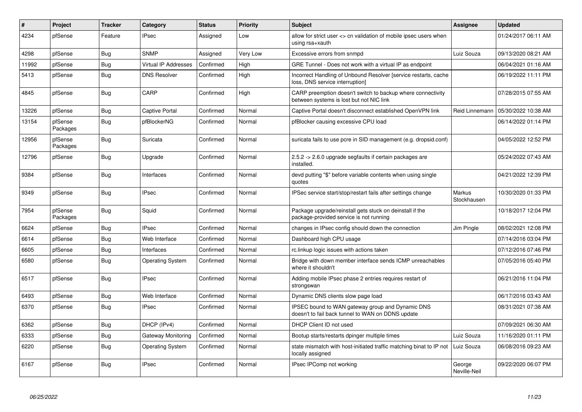| #     | Project             | <b>Tracker</b> | Category                | <b>Status</b> | Priority | <b>Subject</b>                                                                                          | Assignee               | <b>Updated</b>      |
|-------|---------------------|----------------|-------------------------|---------------|----------|---------------------------------------------------------------------------------------------------------|------------------------|---------------------|
| 4234  | pfSense             | Feature        | <b>IPsec</b>            | Assigned      | Low      | allow for strict user <> cn validation of mobile ipsec users when<br>using rsa+xauth                    |                        | 01/24/2017 06:11 AM |
| 4298  | pfSense             | <b>Bug</b>     | <b>SNMP</b>             | Assigned      | Very Low | Excessive errors from snmpd                                                                             | Luiz Souza             | 09/13/2020 08:21 AM |
| 11992 | pfSense             | <b>Bug</b>     | Virtual IP Addresses    | Confirmed     | High     | GRE Tunnel - Does not work with a virtual IP as endpoint                                                |                        | 06/04/2021 01:16 AM |
| 5413  | pfSense             | <b>Bug</b>     | <b>DNS Resolver</b>     | Confirmed     | High     | Incorrect Handling of Unbound Resolver [service restarts, cache<br>loss, DNS service interruption]      |                        | 06/19/2022 11:11 PM |
| 4845  | pfSense             | <b>Bug</b>     | CARP                    | Confirmed     | High     | CARP preemption doesn't switch to backup where connectivity<br>between systems is lost but not NIC link |                        | 07/28/2015 07:55 AM |
| 13226 | pfSense             | <b>Bug</b>     | <b>Captive Portal</b>   | Confirmed     | Normal   | Captive Portal doesn't disconnect established OpenVPN link                                              | Reid Linnemann         | 05/30/2022 10:38 AM |
| 13154 | pfSense<br>Packages | Bug            | pfBlockerNG             | Confirmed     | Normal   | pfBlocker causing excessive CPU load                                                                    |                        | 06/14/2022 01:14 PM |
| 12956 | pfSense<br>Packages | <b>Bug</b>     | Suricata                | Confirmed     | Normal   | suricata fails to use pcre in SID management (e.g. dropsid.conf)                                        |                        | 04/05/2022 12:52 PM |
| 12796 | pfSense             | <b>Bug</b>     | Upgrade                 | Confirmed     | Normal   | 2.5.2 -> 2.6.0 upgrade segfaults if certain packages are<br>installed.                                  |                        | 05/24/2022 07:43 AM |
| 9384  | pfSense             | <b>Bug</b>     | Interfaces              | Confirmed     | Normal   | devd putting "\$" before variable contents when using single<br>quotes                                  |                        | 04/21/2022 12:39 PM |
| 9349  | pfSense             | <b>Bug</b>     | <b>IPsec</b>            | Confirmed     | Normal   | IPSec service start/stop/restart fails after settings change                                            | Markus<br>Stockhausen  | 10/30/2020 01:33 PM |
| 7954  | pfSense<br>Packages | <b>Bug</b>     | Squid                   | Confirmed     | Normal   | Package upgrade/reinstall gets stuck on deinstall if the<br>package-provided service is not running     |                        | 10/18/2017 12:04 PM |
| 6624  | pfSense             | <b>Bug</b>     | <b>IPsec</b>            | Confirmed     | Normal   | changes in IPsec config should down the connection                                                      | Jim Pingle             | 08/02/2021 12:08 PM |
| 6614  | pfSense             | <b>Bug</b>     | Web Interface           | Confirmed     | Normal   | Dashboard high CPU usage                                                                                |                        | 07/14/2016 03:04 PM |
| 6605  | pfSense             | <b>Bug</b>     | Interfaces              | Confirmed     | Normal   | rc.linkup logic issues with actions taken                                                               |                        | 07/12/2016 07:46 PM |
| 6580  | pfSense             | <b>Bug</b>     | <b>Operating System</b> | Confirmed     | Normal   | Bridge with down member interface sends ICMP unreachables<br>where it shouldn't                         |                        | 07/05/2016 05:40 PM |
| 6517  | pfSense             | <b>Bug</b>     | <b>IPsec</b>            | Confirmed     | Normal   | Adding mobile IPsec phase 2 entries requires restart of<br>strongswan                                   |                        | 06/21/2016 11:04 PM |
| 6493  | pfSense             | <b>Bug</b>     | Web Interface           | Confirmed     | Normal   | Dynamic DNS clients slow page load                                                                      |                        | 06/17/2016 03:43 AM |
| 6370  | pfSense             | <b>Bug</b>     | <b>IPsec</b>            | Confirmed     | Normal   | IPSEC bound to WAN gateway group and Dynamic DNS<br>doesn't to fail back tunnel to WAN on DDNS update   |                        | 08/31/2021 07:38 AM |
| 6362  | pfSense             | Bug            | DHCP (IPv4)             | Confirmed     | Normal   | DHCP Client ID not used                                                                                 |                        | 07/09/2021 06:30 AM |
| 6333  | pfSense             | <b>Bug</b>     | Gateway Monitoring      | Confirmed     | Normal   | Bootup starts/restarts dpinger multiple times                                                           | Luiz Souza             | 11/16/2020 01:11 PM |
| 6220  | pfSense             | Bug            | <b>Operating System</b> | Confirmed     | Normal   | state mismatch with host-initiated traffic matching binat to IP not<br>locally assigned                 | Luiz Souza             | 06/08/2016 09:23 AM |
| 6167  | pfSense             | Bug            | <b>IPsec</b>            | Confirmed     | Normal   | IPsec IPComp not working                                                                                | George<br>Neville-Neil | 09/22/2020 06:07 PM |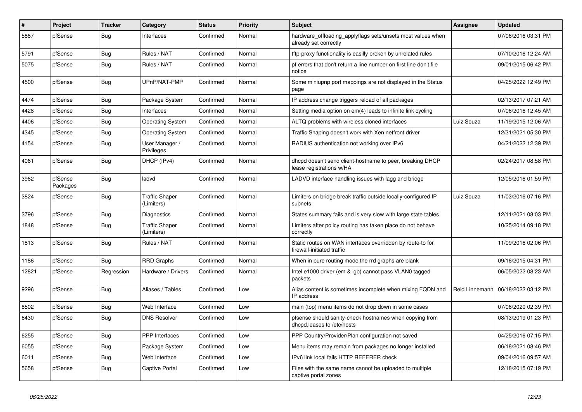| $\sharp$ | Project             | <b>Tracker</b> | Category                            | <b>Status</b> | <b>Priority</b> | <b>Subject</b>                                                                           | Assignee       | <b>Updated</b>      |
|----------|---------------------|----------------|-------------------------------------|---------------|-----------------|------------------------------------------------------------------------------------------|----------------|---------------------|
| 5887     | pfSense             | Bug            | Interfaces                          | Confirmed     | Normal          | hardware_offloading_applyflags sets/unsets most values when<br>already set correctly     |                | 07/06/2016 03:31 PM |
| 5791     | pfSense             | Bug            | Rules / NAT                         | Confirmed     | Normal          | tftp-proxy functionality is easilly broken by unrelated rules                            |                | 07/10/2016 12:24 AM |
| 5075     | pfSense             | Bug            | Rules / NAT                         | Confirmed     | Normal          | pf errors that don't return a line number on first line don't file<br>notice             |                | 09/01/2015 06:42 PM |
| 4500     | pfSense             | <b>Bug</b>     | UPnP/NAT-PMP                        | Confirmed     | Normal          | Some miniupnp port mappings are not displayed in the Status<br>page                      |                | 04/25/2022 12:49 PM |
| 4474     | pfSense             | <b>Bug</b>     | Package System                      | Confirmed     | Normal          | IP address change triggers reload of all packages                                        |                | 02/13/2017 07:21 AM |
| 4428     | pfSense             | Bug            | Interfaces                          | Confirmed     | Normal          | Setting media option on em(4) leads to infinite link cycling                             |                | 07/06/2016 12:45 AM |
| 4406     | pfSense             | <b>Bug</b>     | <b>Operating System</b>             | Confirmed     | Normal          | ALTQ problems with wireless cloned interfaces                                            | Luiz Souza     | 11/19/2015 12:06 AM |
| 4345     | pfSense             | Bug            | <b>Operating System</b>             | Confirmed     | Normal          | Traffic Shaping doesn't work with Xen netfront driver                                    |                | 12/31/2021 05:30 PM |
| 4154     | pfSense             | Bug            | User Manager /<br>Privileges        | Confirmed     | Normal          | RADIUS authentication not working over IPv6                                              |                | 04/21/2022 12:39 PM |
| 4061     | pfSense             | Bug            | DHCP (IPv4)                         | Confirmed     | Normal          | dhcpd doesn't send client-hostname to peer, breaking DHCP<br>lease registrations w/HA    |                | 02/24/2017 08:58 PM |
| 3962     | pfSense<br>Packages | <b>Bug</b>     | ladvd                               | Confirmed     | Normal          | LADVD interface handling issues with lagg and bridge                                     |                | 12/05/2016 01:59 PM |
| 3824     | pfSense             | Bug            | <b>Traffic Shaper</b><br>(Limiters) | Confirmed     | Normal          | Limiters on bridge break traffic outside locally-configured IP<br>subnets                | Luiz Souza     | 11/03/2016 07:16 PM |
| 3796     | pfSense             | Bug            | Diagnostics                         | Confirmed     | Normal          | States summary fails and is very slow with large state tables                            |                | 12/11/2021 08:03 PM |
| 1848     | pfSense             | Bug            | <b>Traffic Shaper</b><br>(Limiters) | Confirmed     | Normal          | Limiters after policy routing has taken place do not behave<br>correctly                 |                | 10/25/2014 09:18 PM |
| 1813     | pfSense             | Bug            | Rules / NAT                         | Confirmed     | Normal          | Static routes on WAN interfaces overridden by route-to for<br>firewall-initiated traffic |                | 11/09/2016 02:06 PM |
| 1186     | pfSense             | Bug            | <b>RRD Graphs</b>                   | Confirmed     | Normal          | When in pure routing mode the rrd graphs are blank                                       |                | 09/16/2015 04:31 PM |
| 12821    | pfSense             | Regression     | Hardware / Drivers                  | Confirmed     | Normal          | Intel e1000 driver (em & igb) cannot pass VLAN0 tagged<br>packets                        |                | 06/05/2022 08:23 AM |
| 9296     | pfSense             | Bug            | Aliases / Tables                    | Confirmed     | Low             | Alias content is sometimes incomplete when mixing FQDN and<br>IP address                 | Reid Linnemann | 06/18/2022 03:12 PM |
| 8502     | pfSense             | <b>Bug</b>     | Web Interface                       | Confirmed     | Low             | main (top) menu items do not drop down in some cases                                     |                | 07/06/2020 02:39 PM |
| 6430     | pfSense             | Bug            | <b>DNS Resolver</b>                 | Confirmed     | Low             | pfsense should sanity-check hostnames when copying from<br>dhcpd.leases to /etc/hosts    |                | 08/13/2019 01:23 PM |
| 6255     | pfSense             | Bug            | PPP Interfaces                      | Confirmed     | Low             | PPP Country/Provider/Plan configuration not saved                                        |                | 04/25/2016 07:15 PM |
| 6055     | pfSense             | <b>Bug</b>     | Package System                      | Confirmed     | Low             | Menu items may remain from packages no longer installed                                  |                | 06/18/2021 08:46 PM |
| 6011     | pfSense             | <b>Bug</b>     | Web Interface                       | Confirmed     | Low             | IPv6 link local fails HTTP REFERER check                                                 |                | 09/04/2016 09:57 AM |
| 5658     | pfSense             | Bug            | Captive Portal                      | Confirmed     | Low             | Files with the same name cannot be uploaded to multiple<br>captive portal zones          |                | 12/18/2015 07:19 PM |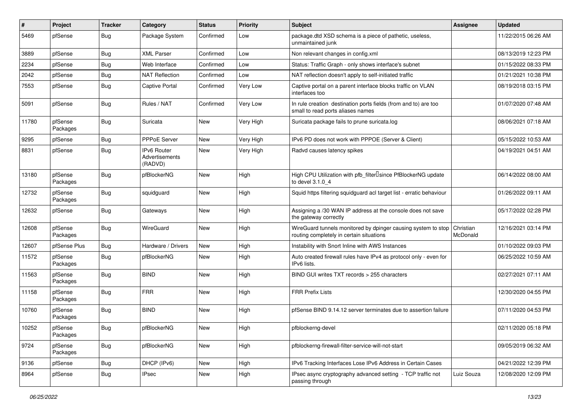| #     | Project             | <b>Tracker</b> | Category                                        | <b>Status</b> | <b>Priority</b> | <b>Subject</b>                                                                                            | Assignee              | <b>Updated</b>      |
|-------|---------------------|----------------|-------------------------------------------------|---------------|-----------------|-----------------------------------------------------------------------------------------------------------|-----------------------|---------------------|
| 5469  | pfSense             | <b>Bug</b>     | Package System                                  | Confirmed     | Low             | package.dtd XSD schema is a piece of pathetic, useless,<br>unmaintained junk                              |                       | 11/22/2015 06:26 AM |
| 3889  | pfSense             | Bug            | <b>XML Parser</b>                               | Confirmed     | Low             | Non relevant changes in config.xml                                                                        |                       | 08/13/2019 12:23 PM |
| 2234  | pfSense             | Bug            | Web Interface                                   | Confirmed     | Low             | Status: Traffic Graph - only shows interface's subnet                                                     |                       | 01/15/2022 08:33 PM |
| 2042  | pfSense             | <b>Bug</b>     | <b>NAT Reflection</b>                           | Confirmed     | Low             | NAT reflection doesn't apply to self-initiated traffic                                                    |                       | 01/21/2021 10:38 PM |
| 7553  | pfSense             | <b>Bug</b>     | <b>Captive Portal</b>                           | Confirmed     | Very Low        | Captive portal on a parent interface blocks traffic on VLAN<br>interfaces too                             |                       | 08/19/2018 03:15 PM |
| 5091  | pfSense             | <b>Bug</b>     | Rules / NAT                                     | Confirmed     | Very Low        | In rule creation destination ports fields (from and to) are too<br>small to read ports aliases names      |                       | 01/07/2020 07:48 AM |
| 11780 | pfSense<br>Packages | <b>Bug</b>     | Suricata                                        | <b>New</b>    | Very High       | Suricata package fails to prune suricata.log                                                              |                       | 08/06/2021 07:18 AM |
| 9295  | pfSense             | <b>Bug</b>     | <b>PPPoE Server</b>                             | <b>New</b>    | Very High       | IPv6 PD does not work with PPPOE (Server & Client)                                                        |                       | 05/15/2022 10:53 AM |
| 8831  | pfSense             | Bug            | <b>IPv6 Router</b><br>Advertisements<br>(RADVD) | New           | Very High       | Radvd causes latency spikes                                                                               |                       | 04/19/2021 04:51 AM |
| 13180 | pfSense<br>Packages | <b>Bug</b>     | pfBlockerNG                                     | <b>New</b>    | High            | High CPU Utilization with pfb_filter <sup>[]</sup> since PfBlockerNG update<br>to devel 3.1.0_4           |                       | 06/14/2022 08:00 AM |
| 12732 | pfSense<br>Packages | <b>Bug</b>     | squidguard                                      | New           | High            | Squid https filtering squidguard acl target list - erratic behaviour                                      |                       | 01/26/2022 09:11 AM |
| 12632 | pfSense             | <b>Bug</b>     | Gateways                                        | New           | High            | Assigning a /30 WAN IP address at the console does not save<br>the gateway correctly                      |                       | 05/17/2022 02:28 PM |
| 12608 | pfSense<br>Packages | Bug            | WireGuard                                       | <b>New</b>    | High            | WireGuard tunnels monitored by dpinger causing system to stop<br>routing completely in certain situations | Christian<br>McDonald | 12/16/2021 03:14 PM |
| 12607 | pfSense Plus        | <b>Bug</b>     | Hardware / Drivers                              | <b>New</b>    | High            | Instability with Snort Inline with AWS Instances                                                          |                       | 01/10/2022 09:03 PM |
| 11572 | pfSense<br>Packages | <b>Bug</b>     | pfBlockerNG                                     | New           | High            | Auto created firewall rules have IPv4 as protocol only - even for<br>IPv6 lists.                          |                       | 06/25/2022 10:59 AM |
| 11563 | pfSense<br>Packages | <b>Bug</b>     | <b>BIND</b>                                     | <b>New</b>    | High            | BIND GUI writes TXT records > 255 characters                                                              |                       | 02/27/2021 07:11 AM |
| 11158 | pfSense<br>Packages | <b>Bug</b>     | <b>FRR</b>                                      | New           | High            | <b>FRR Prefix Lists</b>                                                                                   |                       | 12/30/2020 04:55 PM |
| 10760 | pfSense<br>Packages | <b>Bug</b>     | <b>BIND</b>                                     | New           | High            | pfSense BIND 9.14.12 server terminates due to assertion failure                                           |                       | 07/11/2020 04:53 PM |
| 10252 | pfSense<br>Packages | Bug            | pfBlockerNG                                     | New           | High            | pfblockerng-devel                                                                                         |                       | 02/11/2020 05:18 PM |
| 9724  | pfSense<br>Packages | Bug            | pfBlockerNG                                     | New           | High            | pfblockerng-firewall-filter-service-will-not-start                                                        |                       | 09/05/2019 06:32 AM |
| 9136  | pfSense             | Bug            | DHCP (IPv6)                                     | New           | High            | IPv6 Tracking Interfaces Lose IPv6 Address in Certain Cases                                               |                       | 04/21/2022 12:39 PM |
| 8964  | pfSense             | Bug            | <b>IPsec</b>                                    | New           | High            | IPsec async cryptography advanced setting - TCP traffic not<br>passing through                            | Luiz Souza            | 12/08/2020 12:09 PM |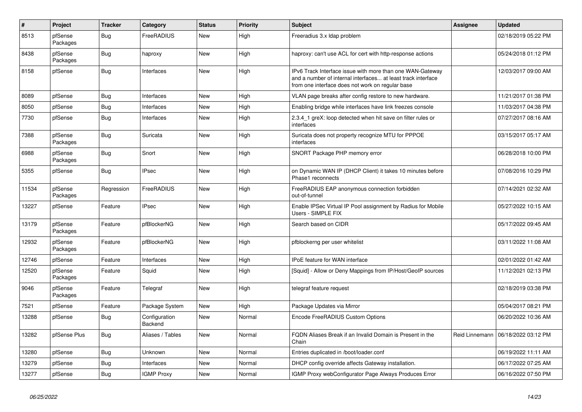| $\pmb{\#}$ | Project             | <b>Tracker</b> | Category                 | <b>Status</b> | <b>Priority</b> | <b>Subject</b>                                                                                                                                                                | <b>Assignee</b> | <b>Updated</b>      |
|------------|---------------------|----------------|--------------------------|---------------|-----------------|-------------------------------------------------------------------------------------------------------------------------------------------------------------------------------|-----------------|---------------------|
| 8513       | pfSense<br>Packages | Bug            | FreeRADIUS               | <b>New</b>    | High            | Freeradius 3.x Idap problem                                                                                                                                                   |                 | 02/18/2019 05:22 PM |
| 8438       | pfSense<br>Packages | <b>Bug</b>     | haproxy                  | <b>New</b>    | High            | haproxy: can't use ACL for cert with http-response actions                                                                                                                    |                 | 05/24/2018 01:12 PM |
| 8158       | pfSense             | <b>Bug</b>     | Interfaces               | <b>New</b>    | High            | IPv6 Track Interface issue with more than one WAN-Gateway<br>and a number of internal interfaces at least track interface<br>from one interface does not work on regular base |                 | 12/03/2017 09:00 AM |
| 8089       | pfSense             | Bug            | Interfaces               | <b>New</b>    | High            | VLAN page breaks after config restore to new hardware.                                                                                                                        |                 | 11/21/2017 01:38 PM |
| 8050       | pfSense             | Bug            | Interfaces               | <b>New</b>    | High            | Enabling bridge while interfaces have link freezes console                                                                                                                    |                 | 11/03/2017 04:38 PM |
| 7730       | pfSense             | <b>Bug</b>     | Interfaces               | <b>New</b>    | High            | 2.3.4_1 greX: loop detected when hit save on filter rules or<br>interfaces                                                                                                    |                 | 07/27/2017 08:16 AM |
| 7388       | pfSense<br>Packages | <b>Bug</b>     | Suricata                 | New           | High            | Suricata does not property recognize MTU for PPPOE<br>interfaces                                                                                                              |                 | 03/15/2017 05:17 AM |
| 6988       | pfSense<br>Packages | Bug            | Snort                    | <b>New</b>    | High            | SNORT Package PHP memory error                                                                                                                                                |                 | 06/28/2018 10:00 PM |
| 5355       | pfSense             | <b>Bug</b>     | <b>IPsec</b>             | <b>New</b>    | High            | on Dynamic WAN IP (DHCP Client) it takes 10 minutes before<br>Phase1 reconnects                                                                                               |                 | 07/08/2016 10:29 PM |
| 11534      | pfSense<br>Packages | Regression     | FreeRADIUS               | <b>New</b>    | High            | FreeRADIUS EAP anonymous connection forbidden<br>out-of-tunnel                                                                                                                |                 | 07/14/2021 02:32 AM |
| 13227      | pfSense             | Feature        | <b>IPsec</b>             | <b>New</b>    | High            | Enable IPSec Virtual IP Pool assignment by Radius for Mobile<br>Users - SIMPLE FIX                                                                                            |                 | 05/27/2022 10:15 AM |
| 13179      | pfSense<br>Packages | Feature        | pfBlockerNG              | <b>New</b>    | High            | Search based on CIDR                                                                                                                                                          |                 | 05/17/2022 09:45 AM |
| 12932      | pfSense<br>Packages | Feature        | pfBlockerNG              | <b>New</b>    | High            | pfblockerng per user whitelist                                                                                                                                                |                 | 03/11/2022 11:08 AM |
| 12746      | pfSense             | Feature        | Interfaces               | <b>New</b>    | High            | <b>IPoE</b> feature for WAN interface                                                                                                                                         |                 | 02/01/2022 01:42 AM |
| 12520      | pfSense<br>Packages | Feature        | Squid                    | <b>New</b>    | High            | [Squid] - Allow or Deny Mappings from IP/Host/GeoIP sources                                                                                                                   |                 | 11/12/2021 02:13 PM |
| 9046       | pfSense<br>Packages | Feature        | Telegraf                 | <b>New</b>    | High            | telegraf feature request                                                                                                                                                      |                 | 02/18/2019 03:38 PM |
| 7521       | pfSense             | Feature        | Package System           | <b>New</b>    | High            | Package Updates via Mirror                                                                                                                                                    |                 | 05/04/2017 08:21 PM |
| 13288      | pfSense             | <b>Bug</b>     | Configuration<br>Backend | New           | Normal          | Encode FreeRADIUS Custom Options                                                                                                                                              |                 | 06/20/2022 10:36 AM |
| 13282      | pfSense Plus        | Bug            | Aliases / Tables         | <b>New</b>    | Normal          | FQDN Aliases Break if an Invalid Domain is Present in the<br>Chain                                                                                                            | Reid Linnemann  | 06/18/2022 03:12 PM |
| 13280      | pfSense             | <b>Bug</b>     | Unknown                  | <b>New</b>    | Normal          | Entries duplicated in /boot/loader.conf                                                                                                                                       |                 | 06/19/2022 11:11 AM |
| 13279      | pfSense             | <b>Bug</b>     | Interfaces               | <b>New</b>    | Normal          | DHCP config override affects Gateway installation.                                                                                                                            |                 | 06/17/2022 07:25 AM |
| 13277      | pfSense             | Bug            | <b>IGMP Proxy</b>        | <b>New</b>    | Normal          | IGMP Proxy webConfigurator Page Always Produces Error                                                                                                                         |                 | 06/16/2022 07:50 PM |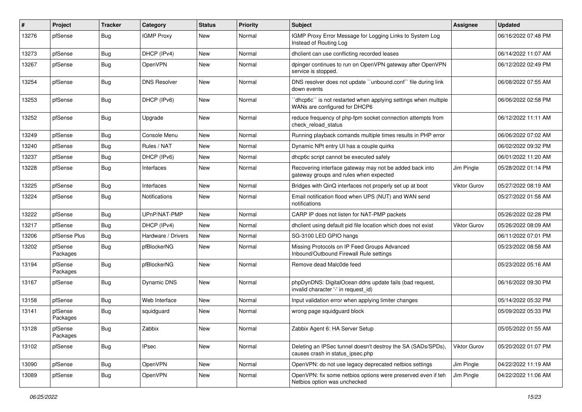| #     | Project             | <b>Tracker</b> | Category            | <b>Status</b> | <b>Priority</b> | <b>Subject</b>                                                                                    | <b>Assignee</b> | <b>Updated</b>      |
|-------|---------------------|----------------|---------------------|---------------|-----------------|---------------------------------------------------------------------------------------------------|-----------------|---------------------|
| 13276 | pfSense             | <b>Bug</b>     | <b>IGMP Proxy</b>   | New           | Normal          | IGMP Proxy Error Message for Logging Links to System Log<br>Instead of Routing Log                |                 | 06/16/2022 07:48 PM |
| 13273 | pfSense             | <b>Bug</b>     | DHCP (IPv4)         | New           | Normal          | dhclient can use conflicting recorded leases                                                      |                 | 06/14/2022 11:07 AM |
| 13267 | pfSense             | <b>Bug</b>     | OpenVPN             | New           | Normal          | dpinger continues to run on OpenVPN gateway after OpenVPN<br>service is stopped.                  |                 | 06/12/2022 02:49 PM |
| 13254 | pfSense             | <b>Bug</b>     | <b>DNS Resolver</b> | <b>New</b>    | Normal          | DNS resolver does not update "unbound.conf" file during link<br>down events                       |                 | 06/08/2022 07:55 AM |
| 13253 | pfSense             | <b>Bug</b>     | DHCP (IPv6)         | <b>New</b>    | Normal          | 'dhcp6c' is not restarted when applying settings when multiple<br>WANs are configured for DHCP6   |                 | 06/06/2022 02:58 PM |
| 13252 | pfSense             | Bug            | Upgrade             | New           | Normal          | reduce frequency of php-fpm socket connection attempts from<br>check reload status                |                 | 06/12/2022 11:11 AM |
| 13249 | pfSense             | <b>Bug</b>     | Console Menu        | New           | Normal          | Running playback comands multiple times results in PHP error                                      |                 | 06/06/2022 07:02 AM |
| 13240 | pfSense             | Bug            | Rules / NAT         | <b>New</b>    | Normal          | Dynamic NPt entry UI has a couple quirks                                                          |                 | 06/02/2022 09:32 PM |
| 13237 | pfSense             | Bug            | DHCP (IPv6)         | New           | Normal          | dhcp6c script cannot be executed safely                                                           |                 | 06/01/2022 11:20 AM |
| 13228 | pfSense             | <b>Bug</b>     | Interfaces          | New           | Normal          | Recovering interface gateway may not be added back into<br>gateway groups and rules when expected | Jim Pingle      | 05/28/2022 01:14 PM |
| 13225 | pfSense             | <b>Bug</b>     | Interfaces          | New           | Normal          | Bridges with QinQ interfaces not properly set up at boot                                          | Viktor Gurov    | 05/27/2022 08:19 AM |
| 13224 | pfSense             | <b>Bug</b>     | Notifications       | New           | Normal          | Email notification flood when UPS (NUT) and WAN send<br>notifications                             |                 | 05/27/2022 01:58 AM |
| 13222 | pfSense             | <b>Bug</b>     | UPnP/NAT-PMP        | <b>New</b>    | Normal          | CARP IP does not listen for NAT-PMP packets                                                       |                 | 05/26/2022 02:28 PM |
| 13217 | pfSense             | <b>Bug</b>     | DHCP (IPv4)         | <b>New</b>    | Normal          | dhclient using default pid file location which does not exist                                     | Viktor Gurov    | 05/26/2022 08:09 AM |
| 13206 | pfSense Plus        | <b>Bug</b>     | Hardware / Drivers  | New           | Normal          | SG-3100 LED GPIO hangs                                                                            |                 | 06/11/2022 07:01 PM |
| 13202 | pfSense<br>Packages | <b>Bug</b>     | pfBlockerNG         | New           | Normal          | Missing Protocols on IP Feed Groups Advanced<br>Inbound/Outbound Firewall Rule settings           |                 | 05/23/2022 08:58 AM |
| 13194 | pfSense<br>Packages | <b>Bug</b>     | pfBlockerNG         | <b>New</b>    | Normal          | Remove dead Malc0de feed                                                                          |                 | 05/23/2022 05:16 AM |
| 13167 | pfSense             | <b>Bug</b>     | <b>Dynamic DNS</b>  | <b>New</b>    | Normal          | phpDynDNS: DigitalOcean ddns update fails (bad request,<br>invalid character '-' in request id)   |                 | 06/16/2022 09:30 PM |
| 13158 | pfSense             | <b>Bug</b>     | Web Interface       | <b>New</b>    | Normal          | Input validation error when applying limiter changes                                              |                 | 05/14/2022 05:32 PM |
| 13141 | pfSense<br>Packages | <b>Bug</b>     | squidguard          | New           | Normal          | wrong page squidquard block                                                                       |                 | 05/09/2022 05:33 PM |
| 13128 | pfSense<br>Packages | Bug            | Zabbix              | New           | Normal          | Zabbix Agent 6: HA Server Setup                                                                   |                 | 05/05/2022 01:55 AM |
| 13102 | pfSense             | Bug            | <b>IPsec</b>        | New           | Normal          | Deleting an IPSec tunnel doesn't destroy the SA (SADs/SPDs),<br>causes crash in status ipsec.php  | Viktor Gurov    | 05/20/2022 01:07 PM |
| 13090 | pfSense             | <b>Bug</b>     | OpenVPN             | New           | Normal          | OpenVPN: do not use legacy deprecated netbios settings                                            | Jim Pingle      | 04/22/2022 11:19 AM |
| 13089 | pfSense             | Bug            | OpenVPN             | New           | Normal          | OpenVPN: fix some netbios options were preserved even if teh<br>Netbios option was unchecked      | Jim Pingle      | 04/22/2022 11:06 AM |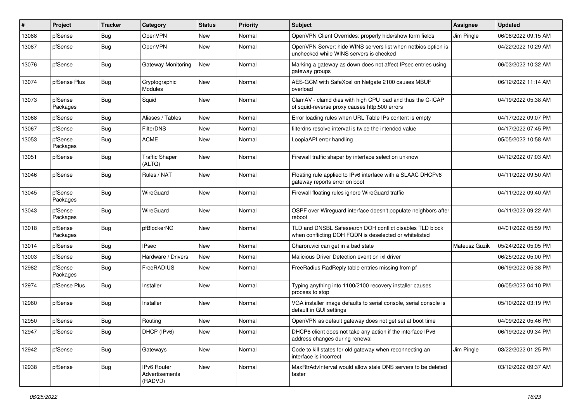| $\vert$ # | Project             | <b>Tracker</b> | Category                                 | <b>Status</b> | <b>Priority</b> | <b>Subject</b>                                                                                                     | <b>Assignee</b> | <b>Updated</b>      |
|-----------|---------------------|----------------|------------------------------------------|---------------|-----------------|--------------------------------------------------------------------------------------------------------------------|-----------------|---------------------|
| 13088     | pfSense             | <b>Bug</b>     | OpenVPN                                  | New           | Normal          | OpenVPN Client Overrides: properly hide/show form fields                                                           | Jim Pingle      | 06/08/2022 09:15 AM |
| 13087     | pfSense             | <b>Bug</b>     | OpenVPN                                  | <b>New</b>    | Normal          | OpenVPN Server: hide WINS servers list when netbios option is<br>unchecked while WINS servers is checked           |                 | 04/22/2022 10:29 AM |
| 13076     | pfSense             | <b>Bug</b>     | Gateway Monitoring                       | New           | Normal          | Marking a gateway as down does not affect IPsec entries using<br>gateway groups                                    |                 | 06/03/2022 10:32 AM |
| 13074     | pfSense Plus        | <b>Bug</b>     | Cryptographic<br>Modules                 | New           | Normal          | AES-GCM with SafeXcel on Netgate 2100 causes MBUF<br>overload                                                      |                 | 06/12/2022 11:14 AM |
| 13073     | pfSense<br>Packages | <b>Bug</b>     | Squid                                    | <b>New</b>    | Normal          | ClamAV - clamd dies with high CPU load and thus the C-ICAP<br>of squid-reverse proxy causes http:500 errors        |                 | 04/19/2022 05:38 AM |
| 13068     | pfSense             | <b>Bug</b>     | Aliases / Tables                         | New           | Normal          | Error loading rules when URL Table IPs content is empty                                                            |                 | 04/17/2022 09:07 PM |
| 13067     | pfSense             | <b>Bug</b>     | <b>FilterDNS</b>                         | <b>New</b>    | Normal          | filterdns resolve interval is twice the intended value                                                             |                 | 04/17/2022 07:45 PM |
| 13053     | pfSense<br>Packages | <b>Bug</b>     | <b>ACME</b>                              | New           | Normal          | LoopiaAPI error handling                                                                                           |                 | 05/05/2022 10:58 AM |
| 13051     | pfSense             | <b>Bug</b>     | <b>Traffic Shaper</b><br>(ALTQ)          | New           | Normal          | Firewall traffic shaper by interface selection unknow                                                              |                 | 04/12/2022 07:03 AM |
| 13046     | pfSense             | Bug            | Rules / NAT                              | <b>New</b>    | Normal          | Floating rule applied to IPv6 interface with a SLAAC DHCPv6<br>gateway reports error on boot                       |                 | 04/11/2022 09:50 AM |
| 13045     | pfSense<br>Packages | Bug            | WireGuard                                | New           | Normal          | Firewall floating rules ignore WireGuard traffic                                                                   |                 | 04/11/2022 09:40 AM |
| 13043     | pfSense<br>Packages | <b>Bug</b>     | WireGuard                                | <b>New</b>    | Normal          | OSPF over Wireguard interface doesn't populate neighbors after<br>reboot                                           |                 | 04/11/2022 09:22 AM |
| 13018     | pfSense<br>Packages | <b>Bug</b>     | pfBlockerNG                              | <b>New</b>    | Normal          | TLD and DNSBL Safesearch DOH conflict disables TLD block<br>when conflicting DOH FQDN is deselected or whitelisted |                 | 04/01/2022 05:59 PM |
| 13014     | pfSense             | <b>Bug</b>     | <b>IPsec</b>                             | <b>New</b>    | Normal          | Charon.vici can get in a bad state                                                                                 | Mateusz Guzik   | 05/24/2022 05:05 PM |
| 13003     | pfSense             | <b>Bug</b>     | Hardware / Drivers                       | New           | Normal          | Malicious Driver Detection event on ixl driver                                                                     |                 | 06/25/2022 05:00 PM |
| 12982     | pfSense<br>Packages | <b>Bug</b>     | FreeRADIUS                               | New           | Normal          | FreeRadius RadReply table entries missing from pf                                                                  |                 | 06/19/2022 05:38 PM |
| 12974     | pfSense Plus        | <b>Bug</b>     | Installer                                | <b>New</b>    | Normal          | Typing anything into 1100/2100 recovery installer causes<br>process to stop                                        |                 | 06/05/2022 04:10 PM |
| 12960     | pfSense             | <b>Bug</b>     | Installer                                | <b>New</b>    | Normal          | VGA installer image defaults to serial console, serial console is<br>default in GUI settings                       |                 | 05/10/2022 03:19 PM |
| 12950     | pfSense             | Bug            | Routing                                  | New           | Normal          | OpenVPN as default gateway does not get set at boot time                                                           |                 | 04/09/2022 05:46 PM |
| 12947     | pfSense             | Bug            | DHCP (IPv6)                              | New           | Normal          | DHCP6 client does not take any action if the interface IPv6<br>address changes during renewal                      |                 | 06/19/2022 09:34 PM |
| 12942     | pfSense             | <b>Bug</b>     | Gateways                                 | New           | Normal          | Code to kill states for old gateway when reconnecting an<br>interface is incorrect                                 | Jim Pingle      | 03/22/2022 01:25 PM |
| 12938     | pfSense             | Bug            | IPv6 Router<br>Advertisements<br>(RADVD) | New           | Normal          | MaxRtrAdvInterval would allow stale DNS servers to be deleted<br>faster                                            |                 | 03/12/2022 09:37 AM |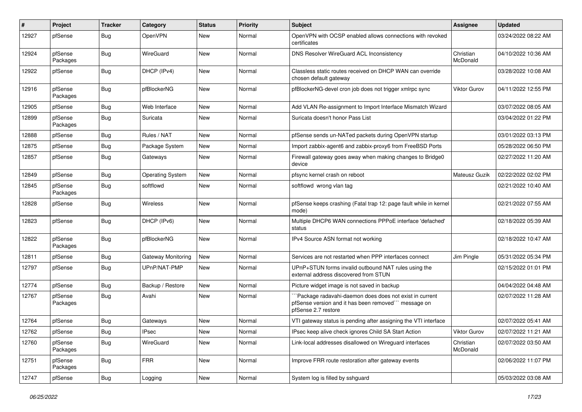| #     | Project             | <b>Tracker</b> | Category                | <b>Status</b> | <b>Priority</b> | <b>Subject</b>                                                                                                                       | <b>Assignee</b>       | <b>Updated</b>      |
|-------|---------------------|----------------|-------------------------|---------------|-----------------|--------------------------------------------------------------------------------------------------------------------------------------|-----------------------|---------------------|
| 12927 | pfSense             | <b>Bug</b>     | OpenVPN                 | New           | Normal          | OpenVPN with OCSP enabled allows connections with revoked<br>certificates                                                            |                       | 03/24/2022 08:22 AM |
| 12924 | pfSense<br>Packages | <b>Bug</b>     | WireGuard               | New           | Normal          | DNS Resolver WireGuard ACL Inconsistency                                                                                             | Christian<br>McDonald | 04/10/2022 10:36 AM |
| 12922 | pfSense             | <b>Bug</b>     | DHCP (IPv4)             | New           | Normal          | Classless static routes received on DHCP WAN can override<br>chosen default gateway                                                  |                       | 03/28/2022 10:08 AM |
| 12916 | pfSense<br>Packages | Bug            | pfBlockerNG             | <b>New</b>    | Normal          | pfBlockerNG-devel cron job does not trigger xmlrpc sync                                                                              | <b>Viktor Gurov</b>   | 04/11/2022 12:55 PM |
| 12905 | pfSense             | <b>Bug</b>     | Web Interface           | New           | Normal          | Add VLAN Re-assignment to Import Interface Mismatch Wizard                                                                           |                       | 03/07/2022 08:05 AM |
| 12899 | pfSense<br>Packages | Bug            | Suricata                | <b>New</b>    | Normal          | Suricata doesn't honor Pass List                                                                                                     |                       | 03/04/2022 01:22 PM |
| 12888 | pfSense             | <b>Bug</b>     | Rules / NAT             | <b>New</b>    | Normal          | pfSense sends un-NATed packets during OpenVPN startup                                                                                |                       | 03/01/2022 03:13 PM |
| 12875 | pfSense             | Bug            | Package System          | <b>New</b>    | Normal          | Import zabbix-agent6 and zabbix-proxy6 from FreeBSD Ports                                                                            |                       | 05/28/2022 06:50 PM |
| 12857 | pfSense             | Bug            | Gateways                | New           | Normal          | Firewall gateway goes away when making changes to Bridge0<br>device                                                                  |                       | 02/27/2022 11:20 AM |
| 12849 | pfSense             | <b>Bug</b>     | <b>Operating System</b> | <b>New</b>    | Normal          | pfsync kernel crash on reboot                                                                                                        | Mateusz Guzik         | 02/22/2022 02:02 PM |
| 12845 | pfSense<br>Packages | <b>Bug</b>     | softflowd               | New           | Normal          | softflowd wrong vlan tag                                                                                                             |                       | 02/21/2022 10:40 AM |
| 12828 | pfSense             | Bug            | Wireless                | New           | Normal          | pfSense keeps crashing (Fatal trap 12: page fault while in kernel<br>mode)                                                           |                       | 02/21/2022 07:55 AM |
| 12823 | pfSense             | <b>Bug</b>     | DHCP (IPv6)             | <b>New</b>    | Normal          | Multiple DHCP6 WAN connections PPPoE interface 'defached'<br>status                                                                  |                       | 02/18/2022 05:39 AM |
| 12822 | pfSense<br>Packages | Bug            | pfBlockerNG             | <b>New</b>    | Normal          | IPv4 Source ASN format not working                                                                                                   |                       | 02/18/2022 10:47 AM |
| 12811 | pfSense             | <b>Bug</b>     | Gateway Monitoring      | New           | Normal          | Services are not restarted when PPP interfaces connect                                                                               | Jim Pingle            | 05/31/2022 05:34 PM |
| 12797 | pfSense             | Bug            | UPnP/NAT-PMP            | New           | Normal          | UPnP+STUN forms invalid outbound NAT rules using the<br>external address discovered from STUN                                        |                       | 02/15/2022 01:01 PM |
| 12774 | pfSense             | <b>Bug</b>     | Backup / Restore        | New           | Normal          | Picture widget image is not saved in backup                                                                                          |                       | 04/04/2022 04:48 AM |
| 12767 | pfSense<br>Packages | Bug            | Avahi                   | New           | Normal          | Package radavahi-daemon does does not exist in current<br>pfSense version and it has been removed" message on<br>pfSense 2.7 restore |                       | 02/07/2022 11:28 AM |
| 12764 | pfSense             | Bug            | Gateways                | <b>New</b>    | Normal          | VTI gateway status is pending after assigning the VTI interface                                                                      |                       | 02/07/2022 05:41 AM |
| 12762 | pfSense             | Bug            | <b>IPsec</b>            | New           | Normal          | IPsec keep alive check ignores Child SA Start Action                                                                                 | Viktor Gurov          | 02/07/2022 11:21 AM |
| 12760 | pfSense<br>Packages | <b>Bug</b>     | WireGuard               | New           | Normal          | Link-local addresses disallowed on Wireguard interfaces                                                                              | Christian<br>McDonald | 02/07/2022 03:50 AM |
| 12751 | pfSense<br>Packages | <b>Bug</b>     | <b>FRR</b>              | New           | Normal          | Improve FRR route restoration after gateway events                                                                                   |                       | 02/06/2022 11:07 PM |
| 12747 | pfSense             | Bug            | Logging                 | New           | Normal          | System log is filled by sshguard                                                                                                     |                       | 05/03/2022 03:08 AM |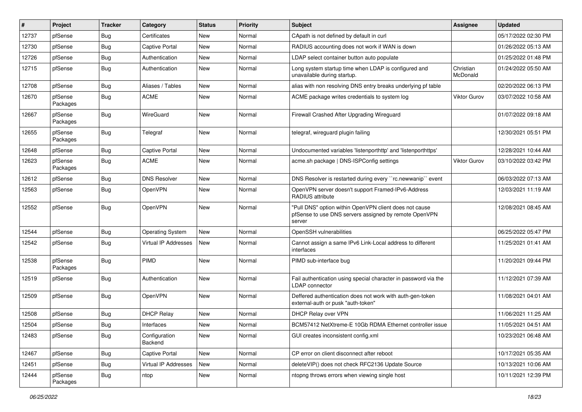| #     | Project             | <b>Tracker</b> | Category                    | <b>Status</b> | <b>Priority</b> | <b>Subject</b>                                                                                                            | Assignee              | <b>Updated</b>      |
|-------|---------------------|----------------|-----------------------------|---------------|-----------------|---------------------------------------------------------------------------------------------------------------------------|-----------------------|---------------------|
| 12737 | pfSense             | Bug            | Certificates                | New           | Normal          | CApath is not defined by default in curl                                                                                  |                       | 05/17/2022 02:30 PM |
| 12730 | pfSense             | Bug            | <b>Captive Portal</b>       | New           | Normal          | RADIUS accounting does not work if WAN is down                                                                            |                       | 01/26/2022 05:13 AM |
| 12726 | pfSense             | Bug            | Authentication              | New           | Normal          | LDAP select container button auto populate                                                                                |                       | 01/25/2022 01:48 PM |
| 12715 | pfSense             | Bug            | Authentication              | New           | Normal          | Long system startup time when LDAP is configured and<br>unavailable during startup.                                       | Christian<br>McDonald | 01/24/2022 05:50 AM |
| 12708 | pfSense             | Bug            | Aliases / Tables            | New           | Normal          | alias with non resolving DNS entry breaks underlying pf table                                                             |                       | 02/20/2022 06:13 PM |
| 12670 | pfSense<br>Packages | Bug            | <b>ACME</b>                 | New           | Normal          | ACME package writes credentials to system log                                                                             | <b>Viktor Gurov</b>   | 03/07/2022 10:58 AM |
| 12667 | pfSense<br>Packages | <b>Bug</b>     | WireGuard                   | New           | Normal          | Firewall Crashed After Upgrading Wireguard                                                                                |                       | 01/07/2022 09:18 AM |
| 12655 | pfSense<br>Packages | <b>Bug</b>     | Telegraf                    | <b>New</b>    | Normal          | telegraf, wireguard plugin failing                                                                                        |                       | 12/30/2021 05:51 PM |
| 12648 | pfSense             | Bug            | <b>Captive Portal</b>       | New           | Normal          | Undocumented variables 'listenporthttp' and 'listenporthttps'                                                             |                       | 12/28/2021 10:44 AM |
| 12623 | pfSense<br>Packages | Bug            | <b>ACME</b>                 | New           | Normal          | acme.sh package   DNS-ISPConfig settings                                                                                  | Viktor Gurov          | 03/10/2022 03:42 PM |
| 12612 | pfSense             | Bug            | <b>DNS Resolver</b>         | New           | Normal          | DNS Resolver is restarted during every "rc.newwanip" event                                                                |                       | 06/03/2022 07:13 AM |
| 12563 | pfSense             | Bug            | OpenVPN                     | New           | Normal          | OpenVPN server doesn't support Framed-IPv6-Address<br>RADIUS attribute                                                    |                       | 12/03/2021 11:19 AM |
| 12552 | pfSense             | <b>Bug</b>     | OpenVPN                     | <b>New</b>    | Normal          | "Pull DNS" option within OpenVPN client does not cause<br>pfSense to use DNS servers assigned by remote OpenVPN<br>server |                       | 12/08/2021 08:45 AM |
| 12544 | pfSense             | Bug            | <b>Operating System</b>     | New           | Normal          | OpenSSH vulnerabilities                                                                                                   |                       | 06/25/2022 05:47 PM |
| 12542 | pfSense             | Bug            | <b>Virtual IP Addresses</b> | New           | Normal          | Cannot assign a same IPv6 Link-Local address to different<br>interfaces                                                   |                       | 11/25/2021 01:41 AM |
| 12538 | pfSense<br>Packages | Bug            | PIMD                        | <b>New</b>    | Normal          | PIMD sub-interface bug                                                                                                    |                       | 11/20/2021 09:44 PM |
| 12519 | pfSense             | <b>Bug</b>     | Authentication              | New           | Normal          | Fail authentication using special character in password via the<br><b>LDAP</b> connector                                  |                       | 11/12/2021 07:39 AM |
| 12509 | pfSense             | Bug            | OpenVPN                     | New           | Normal          | Deffered authentication does not work with auth-gen-token<br>external-auth or pusk "auth-token"                           |                       | 11/08/2021 04:01 AM |
| 12508 | pfSense             | Bug            | <b>DHCP Relay</b>           | New           | Normal          | DHCP Relay over VPN                                                                                                       |                       | 11/06/2021 11:25 AM |
| 12504 | pfSense             | Bug            | Interfaces                  | New           | Normal          | BCM57412 NetXtreme-E 10Gb RDMA Ethernet controller issue                                                                  |                       | 11/05/2021 04:51 AM |
| 12483 | pfSense             | Bug            | Configuration<br>Backend    | New           | Normal          | GUI creates inconsistent config.xml                                                                                       |                       | 10/23/2021 06:48 AM |
| 12467 | pfSense             | <b>Bug</b>     | Captive Portal              | New           | Normal          | CP error on client disconnect after reboot                                                                                |                       | 10/17/2021 05:35 AM |
| 12451 | pfSense             | Bug            | Virtual IP Addresses        | New           | Normal          | deleteVIP() does not check RFC2136 Update Source                                                                          |                       | 10/13/2021 10:06 AM |
| 12444 | pfSense<br>Packages | Bug            | ntop                        | New           | Normal          | ntopng throws errors when viewing single host                                                                             |                       | 10/11/2021 12:39 PM |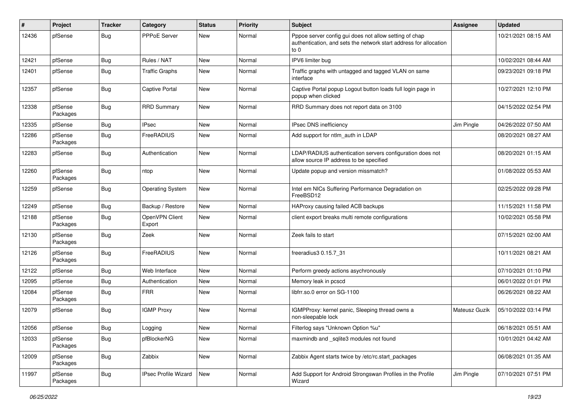| #     | Project             | <b>Tracker</b> | Category                 | <b>Status</b> | <b>Priority</b> | <b>Subject</b>                                                                                                                        | <b>Assignee</b> | <b>Updated</b>      |
|-------|---------------------|----------------|--------------------------|---------------|-----------------|---------------------------------------------------------------------------------------------------------------------------------------|-----------------|---------------------|
| 12436 | pfSense             | Bug            | <b>PPPoE Server</b>      | <b>New</b>    | Normal          | Pppoe server config gui does not allow setting of chap<br>authentication, and sets the network start address for allocation<br>to $0$ |                 | 10/21/2021 08:15 AM |
| 12421 | pfSense             | <b>Bug</b>     | Rules / NAT              | New           | Normal          | IPV6 limiter bug                                                                                                                      |                 | 10/02/2021 08:44 AM |
| 12401 | pfSense             | <b>Bug</b>     | <b>Traffic Graphs</b>    | <b>New</b>    | Normal          | Traffic graphs with untagged and tagged VLAN on same<br>interface                                                                     |                 | 09/23/2021 09:18 PM |
| 12357 | pfSense             | Bug            | <b>Captive Portal</b>    | <b>New</b>    | Normal          | Captive Portal popup Logout button loads full login page in<br>popup when clicked                                                     |                 | 10/27/2021 12:10 PM |
| 12338 | pfSense<br>Packages | Bug            | <b>RRD Summary</b>       | New           | Normal          | RRD Summary does not report data on 3100                                                                                              |                 | 04/15/2022 02:54 PM |
| 12335 | pfSense             | <b>Bug</b>     | <b>IPsec</b>             | New           | Normal          | IPsec DNS inefficiency                                                                                                                | Jim Pingle      | 04/26/2022 07:50 AM |
| 12286 | pfSense<br>Packages | Bug            | FreeRADIUS               | <b>New</b>    | Normal          | Add support for ntlm auth in LDAP                                                                                                     |                 | 08/20/2021 08:27 AM |
| 12283 | pfSense             | <b>Bug</b>     | Authentication           | <b>New</b>    | Normal          | LDAP/RADIUS authentication servers configuration does not<br>allow source IP address to be specified                                  |                 | 08/20/2021 01:15 AM |
| 12260 | pfSense<br>Packages | <b>Bug</b>     | ntop                     | New           | Normal          | Update popup and version missmatch?                                                                                                   |                 | 01/08/2022 05:53 AM |
| 12259 | pfSense             | <b>Bug</b>     | <b>Operating System</b>  | New           | Normal          | Intel em NICs Suffering Performance Degradation on<br>FreeBSD12                                                                       |                 | 02/25/2022 09:28 PM |
| 12249 | pfSense             | <b>Bug</b>     | Backup / Restore         | <b>New</b>    | Normal          | HAProxy causing failed ACB backups                                                                                                    |                 | 11/15/2021 11:58 PM |
| 12188 | pfSense<br>Packages | <b>Bug</b>     | OpenVPN Client<br>Export | <b>New</b>    | Normal          | client export breaks multi remote configurations                                                                                      |                 | 10/02/2021 05:58 PM |
| 12130 | pfSense<br>Packages | Bug            | Zeek                     | <b>New</b>    | Normal          | Zeek fails to start                                                                                                                   |                 | 07/15/2021 02:00 AM |
| 12126 | pfSense<br>Packages | <b>Bug</b>     | FreeRADIUS               | New           | Normal          | freeradius3 0.15.7 31                                                                                                                 |                 | 10/11/2021 08:21 AM |
| 12122 | pfSense             | <b>Bug</b>     | Web Interface            | <b>New</b>    | Normal          | Perform greedy actions asychronously                                                                                                  |                 | 07/10/2021 01:10 PM |
| 12095 | pfSense             | <b>Bug</b>     | Authentication           | New           | Normal          | Memory leak in pcscd                                                                                                                  |                 | 06/01/2022 01:01 PM |
| 12084 | pfSense<br>Packages | Bug            | <b>FRR</b>               | New           | Normal          | libfrr.so.0 error on SG-1100                                                                                                          |                 | 06/26/2021 08:22 AM |
| 12079 | pfSense             | <b>Bug</b>     | <b>IGMP Proxy</b>        | New           | Normal          | IGMPProxy: kernel panic, Sleeping thread owns a<br>non-sleepable lock                                                                 | Mateusz Guzik   | 05/10/2022 03:14 PM |
| 12056 | pfSense             | Bug            | Logging                  | New           | Normal          | Filterlog says "Unknown Option %u"                                                                                                    |                 | 06/18/2021 05:51 AM |
| 12033 | pfSense<br>Packages | Bug            | pfBlockerNG              | New           | Normal          | maxmindb and sqlite3 modules not found                                                                                                |                 | 10/01/2021 04:42 AM |
| 12009 | pfSense<br>Packages | Bug            | Zabbix                   | New           | Normal          | Zabbix Agent starts twice by /etc/rc.start packages                                                                                   |                 | 06/08/2021 01:35 AM |
| 11997 | pfSense<br>Packages | Bug            | IPsec Profile Wizard     | New           | Normal          | Add Support for Android Strongswan Profiles in the Profile<br>Wizard                                                                  | Jim Pingle      | 07/10/2021 07:51 PM |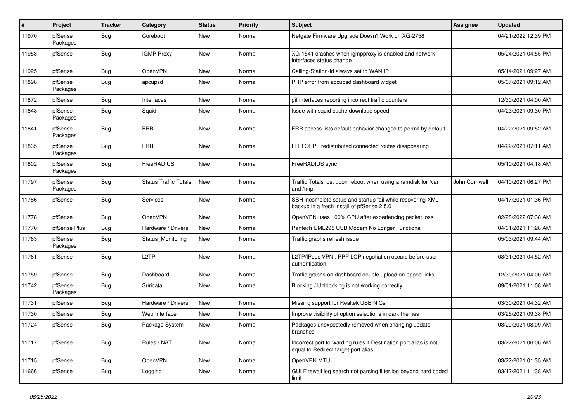| #     | Project             | <b>Tracker</b> | Category                     | <b>Status</b> | <b>Priority</b> | <b>Subject</b>                                                                                           | <b>Assignee</b> | <b>Updated</b>      |
|-------|---------------------|----------------|------------------------------|---------------|-----------------|----------------------------------------------------------------------------------------------------------|-----------------|---------------------|
| 11970 | pfSense<br>Packages | <b>Bug</b>     | Coreboot                     | <b>New</b>    | Normal          | Netgate Firmware Upgrade Doesn't Work on XG-2758                                                         |                 | 04/21/2022 12:39 PM |
| 11953 | pfSense             | <b>Bug</b>     | <b>IGMP Proxy</b>            | <b>New</b>    | Normal          | XG-1541 crashes when igmpproxy is enabled and network<br>interfaces status change                        |                 | 05/24/2021 04:55 PM |
| 11925 | pfSense             | Bug            | OpenVPN                      | New           | Normal          | Calling-Station-Id always set to WAN IP                                                                  |                 | 05/14/2021 09:27 AM |
| 11898 | pfSense<br>Packages | <b>Bug</b>     | apcupsd                      | New           | Normal          | PHP error from apcupsd dashboard widget                                                                  |                 | 05/07/2021 09:12 AM |
| 11872 | pfSense             | <b>Bug</b>     | Interfaces                   | <b>New</b>    | Normal          | gif interfaces reporting incorrect traffic counters                                                      |                 | 12/30/2021 04:00 AM |
| 11848 | pfSense<br>Packages | <b>Bug</b>     | Squid                        | New           | Normal          | Issue with squid cache download speed                                                                    |                 | 04/23/2021 09:30 PM |
| 11841 | pfSense<br>Packages | <b>Bug</b>     | <b>FRR</b>                   | New           | Normal          | FRR access lists default bahavior changed to permit by default                                           |                 | 04/22/2021 09:52 AM |
| 11835 | pfSense<br>Packages | <b>Bug</b>     | <b>FRR</b>                   | <b>New</b>    | Normal          | FRR OSPF redistributed connected routes disappearing                                                     |                 | 04/22/2021 07:11 AM |
| 11802 | pfSense<br>Packages | <b>Bug</b>     | FreeRADIUS                   | <b>New</b>    | Normal          | FreeRADIUS sync                                                                                          |                 | 05/10/2021 04:18 AM |
| 11797 | pfSense<br>Packages | <b>Bug</b>     | <b>Status Traffic Totals</b> | <b>New</b>    | Normal          | Traffic Totals lost upon reboot when using a ramdisk for /var<br>and /tmp                                | John Cornwell   | 04/10/2021 06:27 PM |
| 11786 | pfSense             | <b>Bug</b>     | <b>Services</b>              | <b>New</b>    | Normal          | SSH incomplete setup and startup fail while recovering XML<br>backup in a fresh install of pfSense 2.5.0 |                 | 04/17/2021 01:36 PM |
| 11778 | pfSense             | <b>Bug</b>     | OpenVPN                      | <b>New</b>    | Normal          | OpenVPN uses 100% CPU after experiencing packet loss                                                     |                 | 02/28/2022 07:38 AM |
| 11770 | pfSense Plus        | <b>Bug</b>     | Hardware / Drivers           | New           | Normal          | Pantech UML295 USB Modem No Longer Functional                                                            |                 | 04/01/2021 11:28 AM |
| 11763 | pfSense<br>Packages | <b>Bug</b>     | Status Monitoring            | New           | Normal          | Traffic graphs refresh issue                                                                             |                 | 05/03/2021 09:44 AM |
| 11761 | pfSense             | Bug            | L <sub>2</sub> TP            | New           | Normal          | L2TP/IPsec VPN : PPP LCP negotiation occurs before user<br>authentication                                |                 | 03/31/2021 04:52 AM |
| 11759 | pfSense             | <b>Bug</b>     | Dashboard                    | New           | Normal          | Traffic graphs on dashboard double upload on pppoe links                                                 |                 | 12/30/2021 04:00 AM |
| 11742 | pfSense<br>Packages | Bug            | Suricata                     | New           | Normal          | Blocking / Unblocking is not working correctly.                                                          |                 | 09/01/2021 11:08 AM |
| 11731 | pfSense             | <b>Bug</b>     | Hardware / Drivers           | New           | Normal          | Missing support for Realtek USB NICs                                                                     |                 | 03/30/2021 04:32 AM |
| 11730 | pfSense             | <b>Bug</b>     | Web Interface                | New           | Normal          | Improve visibility of option selections in dark themes                                                   |                 | 03/25/2021 09:38 PM |
| 11724 | pfSense             | <b>Bug</b>     | Package System               | New           | Normal          | Packages unexpectedly removed when changing update<br>branches                                           |                 | 03/29/2021 08:09 AM |
| 11717 | pfSense             | <b>Bug</b>     | Rules / NAT                  | New           | Normal          | Incorrect port forwarding rules if Destination port alias is not<br>equal to Redirect target port alias  |                 | 03/22/2021 06:06 AM |
| 11715 | pfSense             | <b>Bug</b>     | OpenVPN                      | New           | Normal          | OpenVPN MTU                                                                                              |                 | 03/22/2021 01:35 AM |
| 11666 | pfSense             | <b>Bug</b>     | Logging                      | New           | Normal          | GUI Firewall log search not parsing filter.log beyond hard coded<br>limit                                |                 | 03/12/2021 11:38 AM |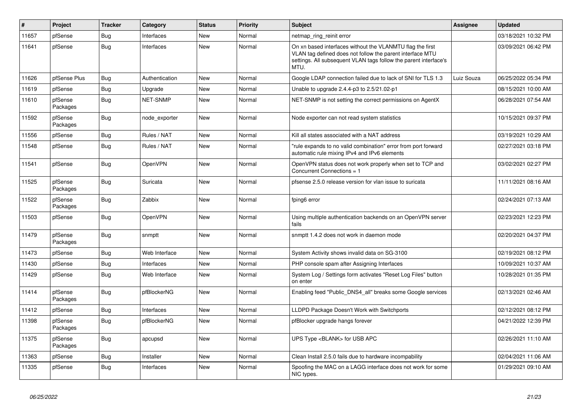| #     | Project             | <b>Tracker</b> | Category        | <b>Status</b> | <b>Priority</b> | <b>Subject</b>                                                                                                                                                                                     | <b>Assignee</b> | <b>Updated</b>      |
|-------|---------------------|----------------|-----------------|---------------|-----------------|----------------------------------------------------------------------------------------------------------------------------------------------------------------------------------------------------|-----------------|---------------------|
| 11657 | pfSense             | Bug            | Interfaces      | <b>New</b>    | Normal          | netmap ring reinit error                                                                                                                                                                           |                 | 03/18/2021 10:32 PM |
| 11641 | pfSense             | <b>Bug</b>     | Interfaces      | <b>New</b>    | Normal          | On xn based interfaces without the VLANMTU flag the first<br>VLAN tag defined does not follow the parent interface MTU<br>settings. All subsequent VLAN tags follow the parent interface's<br>MTU. |                 | 03/09/2021 06:42 PM |
| 11626 | pfSense Plus        | Bug            | Authentication  | <b>New</b>    | Normal          | Google LDAP connection failed due to lack of SNI for TLS 1.3                                                                                                                                       | Luiz Souza      | 06/25/2022 05:34 PM |
| 11619 | pfSense             | <b>Bug</b>     | Upgrade         | <b>New</b>    | Normal          | Unable to upgrade 2.4.4-p3 to 2.5/21.02-p1                                                                                                                                                         |                 | 08/15/2021 10:00 AM |
| 11610 | pfSense<br>Packages | Bug            | <b>NET-SNMP</b> | <b>New</b>    | Normal          | NET-SNMP is not setting the correct permissions on AgentX                                                                                                                                          |                 | 06/28/2021 07:54 AM |
| 11592 | pfSense<br>Packages | <b>Bug</b>     | node exporter   | <b>New</b>    | Normal          | Node exporter can not read system statistics                                                                                                                                                       |                 | 10/15/2021 09:37 PM |
| 11556 | pfSense             | Bug            | Rules / NAT     | <b>New</b>    | Normal          | Kill all states associated with a NAT address                                                                                                                                                      |                 | 03/19/2021 10:29 AM |
| 11548 | pfSense             | Bug            | Rules / NAT     | <b>New</b>    | Normal          | 'rule expands to no valid combination" error from port forward<br>automatic rule mixing IPv4 and IPv6 elements                                                                                     |                 | 02/27/2021 03:18 PM |
| 11541 | pfSense             | <b>Bug</b>     | OpenVPN         | <b>New</b>    | Normal          | OpenVPN status does not work properly when set to TCP and<br>Concurrent Connections = 1                                                                                                            |                 | 03/02/2021 02:27 PM |
| 11525 | pfSense<br>Packages | Bug            | Suricata        | <b>New</b>    | Normal          | pfsense 2.5.0 release version for vlan issue to suricata                                                                                                                                           |                 | 11/11/2021 08:16 AM |
| 11522 | pfSense<br>Packages | <b>Bug</b>     | Zabbix          | <b>New</b>    | Normal          | fping6 error                                                                                                                                                                                       |                 | 02/24/2021 07:13 AM |
| 11503 | pfSense             | <b>Bug</b>     | OpenVPN         | <b>New</b>    | Normal          | Using multiple authentication backends on an OpenVPN server<br>fails                                                                                                                               |                 | 02/23/2021 12:23 PM |
| 11479 | pfSense<br>Packages | <b>Bug</b>     | snmptt          | <b>New</b>    | Normal          | snmptt 1.4.2 does not work in daemon mode                                                                                                                                                          |                 | 02/20/2021 04:37 PM |
| 11473 | pfSense             | Bug            | Web Interface   | <b>New</b>    | Normal          | System Activity shows invalid data on SG-3100                                                                                                                                                      |                 | 02/19/2021 08:12 PM |
| 11430 | pfSense             | Bug            | Interfaces      | <b>New</b>    | Normal          | PHP console spam after Assigning Interfaces                                                                                                                                                        |                 | 10/09/2021 10:37 AM |
| 11429 | pfSense             | Bug            | Web Interface   | New           | Normal          | System Log / Settings form activates "Reset Log Files" button<br>on enter                                                                                                                          |                 | 10/28/2021 01:35 PM |
| 11414 | pfSense<br>Packages | <b>Bug</b>     | pfBlockerNG     | <b>New</b>    | Normal          | Enabling feed "Public DNS4 all" breaks some Google services                                                                                                                                        |                 | 02/13/2021 02:46 AM |
| 11412 | pfSense             | Bug            | Interfaces      | <b>New</b>    | Normal          | LLDPD Package Doesn't Work with Switchports                                                                                                                                                        |                 | 02/12/2021 08:12 PM |
| 11398 | pfSense<br>Packages | Bug            | pfBlockerNG     | New           | Normal          | pfBlocker upgrade hangs forever                                                                                                                                                                    |                 | 04/21/2022 12:39 PM |
| 11375 | pfSense<br>Packages | <b>Bug</b>     | apcupsd         | <b>New</b>    | Normal          | UPS Type <blank> for USB APC</blank>                                                                                                                                                               |                 | 02/26/2021 11:10 AM |
| 11363 | pfSense             | Bug            | Installer       | <b>New</b>    | Normal          | Clean Install 2.5.0 fails due to hardware incompability                                                                                                                                            |                 | 02/04/2021 11:06 AM |
| 11335 | pfSense             | Bug            | Interfaces      | <b>New</b>    | Normal          | Spoofing the MAC on a LAGG interface does not work for some<br>NIC types.                                                                                                                          |                 | 01/29/2021 09:10 AM |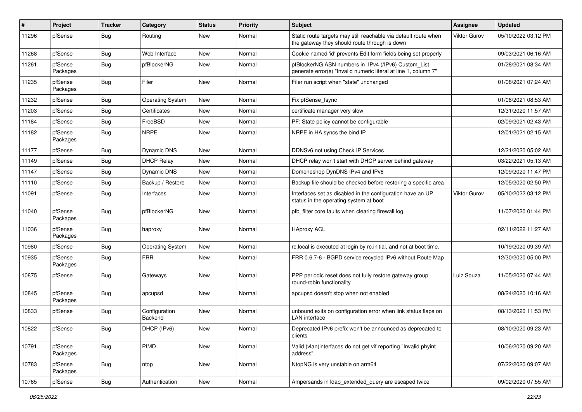| #     | Project             | <b>Tracker</b> | Category                        | <b>Status</b> | <b>Priority</b> | <b>Subject</b>                                                                                                         | <b>Assignee</b> | <b>Updated</b>      |
|-------|---------------------|----------------|---------------------------------|---------------|-----------------|------------------------------------------------------------------------------------------------------------------------|-----------------|---------------------|
| 11296 | pfSense             | <b>Bug</b>     | Routing                         | New           | Normal          | Static route targets may still reachable via default route when<br>the gateway they should route through is down       | Viktor Gurov    | 05/10/2022 03:12 PM |
| 11268 | pfSense             | Bug            | Web Interface                   | New           | Normal          | Cookie named 'id' prevents Edit form fields being set properly                                                         |                 | 09/03/2021 06:16 AM |
| 11261 | pfSense<br>Packages | <b>Bug</b>     | pfBlockerNG                     | <b>New</b>    | Normal          | pfBlockerNG ASN numbers in IPv4 (/IPv6) Custom_List<br>generate error(s) "Invalid numeric literal at line 1, column 7" |                 | 01/28/2021 08:34 AM |
| 11235 | pfSense<br>Packages | Bug            | Filer                           | <b>New</b>    | Normal          | Filer run script when "state" unchanged                                                                                |                 | 01/08/2021 07:24 AM |
| 11232 | pfSense             | Bug            | <b>Operating System</b>         | <b>New</b>    | Normal          | Fix pfSense_fsync                                                                                                      |                 | 01/08/2021 08:53 AM |
| 11203 | pfSense             | Bug            | Certificates                    | New           | Normal          | certificate manager very slow                                                                                          |                 | 12/31/2020 11:57 AM |
| 11184 | pfSense             | Bug            | FreeBSD                         | <b>New</b>    | Normal          | PF: State policy cannot be configurable                                                                                |                 | 02/09/2021 02:43 AM |
| 11182 | pfSense<br>Packages | <b>Bug</b>     | <b>NRPE</b>                     | New           | Normal          | NRPE in HA syncs the bind IP                                                                                           |                 | 12/01/2021 02:15 AM |
| 11177 | pfSense             | <b>Bug</b>     | <b>Dynamic DNS</b>              | <b>New</b>    | Normal          | DDNSv6 not using Check IP Services                                                                                     |                 | 12/21/2020 05:02 AM |
| 11149 | pfSense             | Bug            | <b>DHCP Relay</b>               | New           | Normal          | DHCP relay won't start with DHCP server behind gateway                                                                 |                 | 03/22/2021 05:13 AM |
| 11147 | pfSense             | <b>Bug</b>     | <b>Dynamic DNS</b>              | <b>New</b>    | Normal          | Domeneshop DynDNS IPv4 and IPv6                                                                                        |                 | 12/09/2020 11:47 PM |
| 11110 | pfSense             | <b>Bug</b>     | Backup / Restore                | <b>New</b>    | Normal          | Backup file should be checked before restoring a specific area                                                         |                 | 12/05/2020 02:50 PM |
| 11091 | pfSense             | <b>Bug</b>     | Interfaces                      | New           | Normal          | Interfaces set as disabled in the configuration have an UP<br>status in the operating system at boot                   | Viktor Gurov    | 05/10/2022 03:12 PM |
| 11040 | pfSense<br>Packages | <b>Bug</b>     | pfBlockerNG                     | New           | Normal          | pfb_filter core faults when clearing firewall log                                                                      |                 | 11/07/2020 01:44 PM |
| 11036 | pfSense<br>Packages | <b>Bug</b>     | haproxy                         | New           | Normal          | <b>HAproxy ACL</b>                                                                                                     |                 | 02/11/2022 11:27 AM |
| 10980 | pfSense             | <b>Bug</b>     | <b>Operating System</b>         | <b>New</b>    | Normal          | rc.local is executed at login by rc.initial, and not at boot time.                                                     |                 | 10/19/2020 09:39 AM |
| 10935 | pfSense<br>Packages | <b>Bug</b>     | <b>FRR</b>                      | <b>New</b>    | Normal          | FRR 0.6.7-6 - BGPD service recycled IPv6 without Route Map                                                             |                 | 12/30/2020 05:00 PM |
| 10875 | pfSense             | <b>Bug</b>     | Gateways                        | <b>New</b>    | Normal          | PPP periodic reset does not fully restore gateway group<br>round-robin functionality                                   | Luiz Souza      | 11/05/2020 07:44 AM |
| 10845 | pfSense<br>Packages | <b>Bug</b>     | apcupsd                         | New           | Normal          | apcupsd doesn't stop when not enabled                                                                                  |                 | 08/24/2020 10:16 AM |
| 10833 | pfSense             | <b>Bug</b>     | Configuration<br><b>Backend</b> | New           | Normal          | unbound exits on configuration error when link status flaps on<br><b>LAN</b> interface                                 |                 | 08/13/2020 11:53 PM |
| 10822 | pfSense             | Bug            | DHCP (IPv6)                     | New           | Normal          | Deprecated IPv6 prefix won't be announced as deprecated to<br>clients                                                  |                 | 08/10/2020 09:23 AM |
| 10791 | pfSense<br>Packages | Bug            | PIMD                            | New           | Normal          | Valid (vlan)interfaces do not get vif reporting "Invalid phyint<br>address"                                            |                 | 10/06/2020 09:20 AM |
| 10783 | pfSense<br>Packages | <b>Bug</b>     | ntop                            | New           | Normal          | NtopNG is very unstable on arm64                                                                                       |                 | 07/22/2020 09:07 AM |
| 10765 | pfSense             | <b>Bug</b>     | Authentication                  | New           | Normal          | Ampersands in Idap extended query are escaped twice                                                                    |                 | 09/02/2020 07:55 AM |